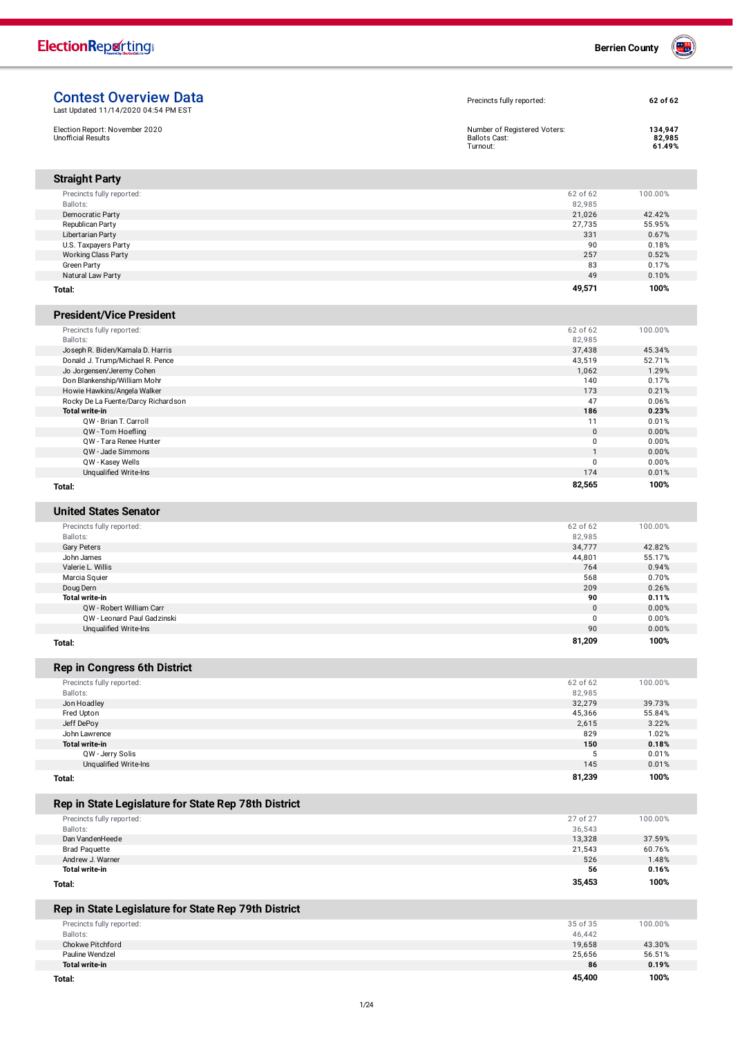| Election Report: November 2020<br><b>Unofficial Results</b>    | Number of Registered Voters:<br><b>Ballots Cast:</b><br>Turnout: | 134,947<br>82,985<br>61.49% |
|----------------------------------------------------------------|------------------------------------------------------------------|-----------------------------|
| <b>Straight Party</b>                                          |                                                                  |                             |
| Precincts fully reported:                                      | 62 of 62                                                         | 100.00%                     |
| Ballots:                                                       | 82,985                                                           |                             |
| Democratic Party                                               | 21,026                                                           | 42.42%                      |
| Republican Party                                               | 27,735<br>331                                                    | 55.95%<br>0.67%             |
| Libertarian Party<br>U.S. Taxpayers Party                      | 90                                                               | 0.18%                       |
| <b>Working Class Party</b>                                     | 257                                                              | 0.52%                       |
| Green Party                                                    | 83                                                               | 0.17%                       |
| Natural Law Party                                              | 49                                                               | 0.10%                       |
| Total:                                                         | 49,571                                                           | 100%                        |
| <b>President/Vice President</b>                                |                                                                  |                             |
| Precincts fully reported:                                      | 62 of 62                                                         | 100.00%                     |
| Ballots:                                                       | 82,985                                                           |                             |
| Joseph R. Biden/Kamala D. Harris                               | 37,438                                                           | 45.34%                      |
| Donald J. Trump/Michael R. Pence<br>Jo Jorgensen/Jeremy Cohen  | 43,519<br>1,062                                                  | 52.71%<br>1.29%             |
| Don Blankenship/William Mohr                                   | 140                                                              | 0.17%                       |
| Howie Hawkins/Angela Walker                                    | 173                                                              | 0.21%                       |
| Rocky De La Fuente/Darcy Richardson                            | 47                                                               | 0.06%                       |
| <b>Total write-in</b>                                          | 186                                                              | 0.23%                       |
| QW - Brian T. Carroll                                          | 11                                                               | 0.01%                       |
| QW - Tom Hoefling<br>QW - Tara Renee Hunter                    | $\mathbf 0$<br>0                                                 | 0.00%<br>0.00%              |
| QW - Jade Simmons                                              | $\mathbf{1}$                                                     | 0.00%                       |
| QW - Kasey Wells                                               | 0                                                                | 0.00%                       |
| Unqualified Write-Ins                                          | 174                                                              | 0.01%                       |
| Total:                                                         | 82,565                                                           | 100%                        |
| <b>United States Senator</b>                                   |                                                                  |                             |
| Precincts fully reported:                                      | 62 of 62                                                         | 100.00%                     |
| Ballots:                                                       | 82,985                                                           |                             |
| <b>Gary Peters</b>                                             | 34,777                                                           | 42.82%                      |
| John James                                                     | 44,801                                                           | 55.17%                      |
| Valerie L. Willis                                              | 764                                                              | 0.94%                       |
| Marcia Squier                                                  | 568<br>209                                                       | 0.70%<br>0.26%              |
| Doug Dern<br><b>Total write-in</b>                             | 90                                                               | 0.11%                       |
| QW - Robert William Carr                                       | $\pmb{0}$                                                        | 0.00%                       |
| QW - Leonard Paul Gadzinski                                    | 0                                                                | 0.00%                       |
| Unqualified Write-Ins                                          | 90                                                               | 0.00%                       |
| Total:                                                         | 81,209                                                           | 100%                        |
| <b>Rep in Congress 6th District</b>                            |                                                                  |                             |
| Precincts fully reported:                                      | 62 of 62                                                         | 100.00%                     |
| Ballots:                                                       | 82,985                                                           |                             |
| Jon Hoadley                                                    | 32,279                                                           | 39.73%                      |
| Fred Upton                                                     | 45,366                                                           | 55.84%                      |
| Jeff DePoy<br>John Lawrence                                    | 2,615<br>829                                                     | 3.22%<br>1.02%              |
| Total write-in                                                 | 150                                                              | 0.18%                       |
| QW - Jerry Solis                                               | 5                                                                | 0.01%                       |
| Unqualified Write-Ins                                          | 145                                                              | 0.01%                       |
| Total:                                                         | 81,239                                                           | 100%                        |
| Rep in State Legislature for State Rep 78th District           |                                                                  |                             |
| Precincts fully reported:                                      | 27 of 27                                                         | 100.00%                     |
| Ballots:                                                       | 36,543                                                           |                             |
| Dan VandenHeede                                                | 13,328                                                           | 37.59%                      |
| <b>Brad Paquette</b>                                           | 21,543                                                           | 60.76%                      |
| Andrew J. Warner<br><b>Total write-in</b>                      | 526<br>56                                                        | 1.48%<br>0.16%              |
|                                                                | 35,453                                                           | 100%                        |
|                                                                |                                                                  |                             |
|                                                                |                                                                  |                             |
| Total:<br>Rep in State Legislature for State Rep 79th District | 35 of 35                                                         |                             |
| Precincts fully reported:<br>Ballots:                          | 46,442                                                           | 100.00%                     |
| Chokwe Pitchford                                               | 19,658                                                           | 43.30%                      |
| Pauline Wendzel<br><b>Total write-in</b>                       | 25,656<br>86                                                     | 56.51%<br>0.19%             |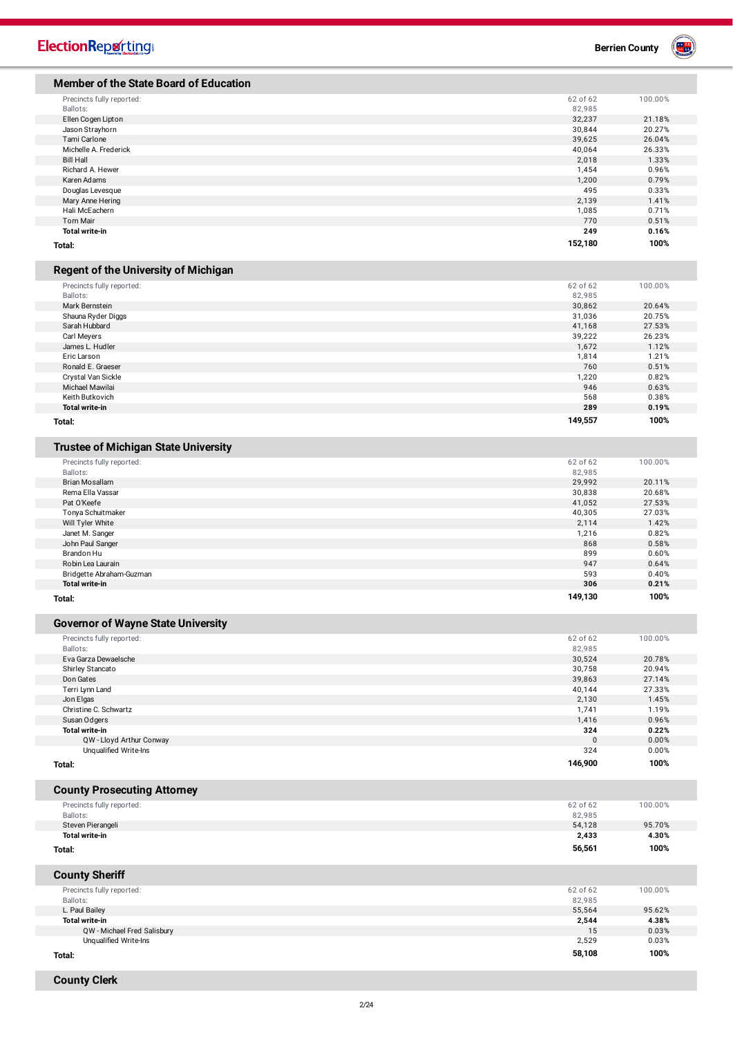| <b>ElectionReporting®</b> |  |  |  |  |
|---------------------------|--|--|--|--|
|                           |  |  |  |  |

**Berrien County** 

| <b>Member of the State Board of Education</b>                            |                    |                 |
|--------------------------------------------------------------------------|--------------------|-----------------|
| Precincts fully reported:                                                | 62 of 62           | 100.00%         |
| Ballots:                                                                 | 82,985             |                 |
| Ellen Cogen Lipton                                                       | 32,237             | 21.18%          |
| Jason Strayhorn                                                          | 30,844             | 20.27%          |
| Tami Carlone                                                             | 39,625             | 26.04%          |
| Michelle A. Frederick                                                    | 40,064             | 26.33%          |
| <b>Bill Hall</b>                                                         | 2,018              | 1.33%           |
| Richard A. Hewer                                                         | 1,454              | 0.96%           |
| Karen Adams                                                              | 1,200              | 0.79%           |
| Douglas Levesque                                                         | 495                | 0.33%           |
| Mary Anne Hering                                                         | 2,139              | 1.41%           |
| Hali McEachern                                                           | 1,085              | 0.71%           |
| <b>Tom Mair</b>                                                          | 770                | 0.51%           |
| <b>Total write-in</b><br>Total:                                          | 249<br>152,180     | 0.16%<br>100%   |
|                                                                          |                    |                 |
| <b>Regent of the University of Michigan</b>                              |                    |                 |
| Precincts fully reported:                                                | 62 of 62           | 100.00%         |
| Ballots:                                                                 | 82,985             |                 |
| Mark Bernstein                                                           | 30,862             | 20.64%          |
| Shauna Ryder Diggs                                                       | 31,036             | 20.75%          |
| Sarah Hubbard                                                            | 41,168             | 27.53%          |
| Carl Meyers<br>James L. Hudler                                           | 39,222<br>1,672    | 26.23%<br>1.12% |
| Eric Larson                                                              | 1,814              | 1.21%           |
| Ronald E. Graeser                                                        | 760                | 0.51%           |
| Crystal Van Sickle                                                       | 1,220              | 0.82%           |
| Michael Mawilai                                                          | 946                | 0.63%           |
| Keith Butkovich                                                          | 568                | 0.38%           |
| <b>Total write-in</b>                                                    | 289                | 0.19%           |
| Total:                                                                   | 149,557            | 100%            |
|                                                                          |                    |                 |
| <b>Trustee of Michigan State University</b><br>Precincts fully reported: | 62 of 62           | 100.00%         |
| Ballots:                                                                 | 82,985             |                 |
| Brian Mosallam                                                           | 29,992             | 20.11%          |
| Rema Ella Vassar                                                         | 30,838             | 20.68%          |
| Pat O'Keefe                                                              | 41,052             | 27.53%          |
| Tonya Schuitmaker                                                        | 40,305             | 27.03%          |
| Will Tyler White                                                         | 2,114              | 1.42%           |
| Janet M. Sanger                                                          | 1,216              | 0.82%           |
| John Paul Sanger                                                         | 868                | 0.58%           |
| Brandon Hu                                                               | 899                | 0.60%           |
| Robin Lea Laurain                                                        | 947                | 0.64%           |
| Bridgette Abraham-Guzman                                                 | 593                | 0.40%           |
| <b>Total write-in</b>                                                    | 306                | 0.21%           |
| Total:                                                                   | 149,130            | 100%            |
| <b>Governor of Wayne State University</b>                                |                    |                 |
| Precincts fully reported:                                                | 62 of 62           | 100.00%         |
| Ballots:                                                                 | 82,985             |                 |
| Eva Garza Dewaelsche                                                     | 30,524             | 20.78%          |
| Shirley Stancato                                                         | 30,758             | 20.94%          |
| Don Gates                                                                | 39,863             | 27.14%          |
| Terri Lynn Land                                                          | 40,144             | 27.33%          |
| Jon Elgas                                                                | 2,130              | 1.45%           |
| Christine C. Schwartz                                                    | 1,741              | 1.19%           |
| Susan Odgers                                                             | 1,416              | 0.96%           |
| <b>Total write-in</b>                                                    | 324                | 0.22%           |
| QW - Lloyd Arthur Conway                                                 | $\Omega$           | 0.00%           |
| Unqualified Write-Ins                                                    | 324                | 0.00%           |
| Total:                                                                   | 146,900            | 100%            |
| <b>County Prosecuting Attorney</b>                                       |                    |                 |
| Precincts fully reported:                                                | 62 of 62           | 100.00%         |
| Ballots:                                                                 | 82,985             |                 |
| Steven Pierangeli                                                        | 54,128             | 95.70%          |
| <b>Total write-in</b>                                                    | 2,433<br>56,561    | 4.30%<br>100%   |
| Total:                                                                   |                    |                 |
| <b>County Sheriff</b>                                                    |                    |                 |
| Precincts fully reported:<br>Ballots:                                    | 62 of 62<br>82,985 | 100.00%         |
| L. Paul Bailey                                                           | 55,564             | 95.62%          |
| <b>Total write-in</b>                                                    | 2,544              | 4.38%           |
| QW - Michael Fred Salisbury                                              | 15                 | 0.03%           |
| Unqualified Write-Ins                                                    | 2,529              | 0.03%           |
|                                                                          | 58,108             | 100%            |
| Total:                                                                   |                    |                 |

**County Clerk**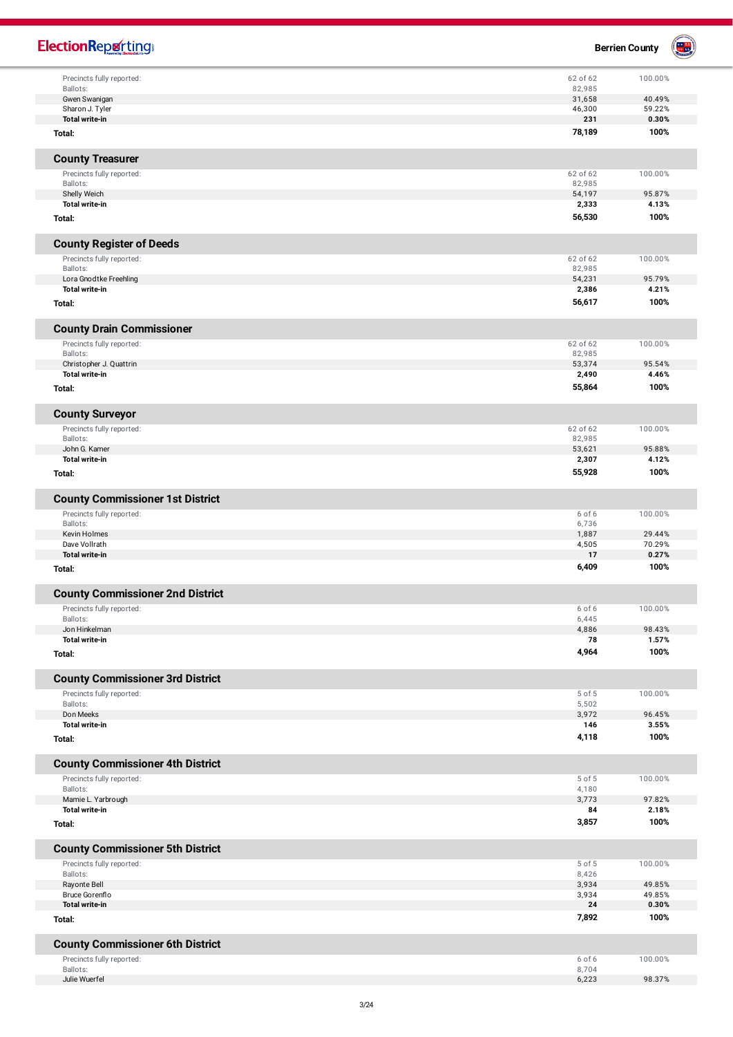| <b>ElectionReporting®</b>                                            |                  | <b>Berrien County</b> | $\begin{pmatrix} 1 & 1 \\ 1 & 1 \end{pmatrix}$ |
|----------------------------------------------------------------------|------------------|-----------------------|------------------------------------------------|
| Precincts fully reported:                                            | 62 of 62         | 100.00%               |                                                |
| Ballots:                                                             | 82,985           |                       |                                                |
| Gwen Swanigan<br>Sharon J. Tyler                                     | 31,658<br>46,300 | 40.49%<br>59.22%      |                                                |
| <b>Total write-in</b>                                                | 231              | 0.30%                 |                                                |
| Total:                                                               | 78,189           | 100%                  |                                                |
| <b>County Treasurer</b>                                              |                  |                       |                                                |
| Precincts fully reported:                                            | 62 of 62         | 100.00%               |                                                |
| Ballots:                                                             | 82,985<br>54,197 | 95.87%                |                                                |
| Shelly Weich<br>Total write-in                                       | 2,333            | 4.13%                 |                                                |
| Total:                                                               | 56,530           | 100%                  |                                                |
| <b>County Register of Deeds</b>                                      |                  |                       |                                                |
| Precincts fully reported:                                            | 62 of 62         | 100.00%               |                                                |
| Ballots:                                                             | 82,985           |                       |                                                |
| Lora Gnodtke Freehling<br>Total write-in                             | 54,231<br>2,386  | 95.79%<br>4.21%       |                                                |
| Total:                                                               | 56,617           | 100%                  |                                                |
| <b>County Drain Commissioner</b>                                     |                  |                       |                                                |
| Precincts fully reported:                                            | 62 of 62         | 100.00%               |                                                |
| Ballots:                                                             | 82,985           |                       |                                                |
| Christopher J. Quattrin<br><b>Total write-in</b>                     | 53,374           | 95.54%<br>4.46%       |                                                |
| Total:                                                               | 2,490<br>55,864  | 100%                  |                                                |
| <b>County Surveyor</b>                                               |                  |                       |                                                |
| Precincts fully reported:                                            | 62 of 62         | 100.00%               |                                                |
| Ballots:                                                             | 82,985           |                       |                                                |
| John G. Kamer                                                        | 53,621           | 95.88%                |                                                |
| <b>Total write-in</b>                                                | 2,307            | 4.12%                 |                                                |
| Total:                                                               | 55,928           | 100%                  |                                                |
| <b>County Commissioner 1st District</b><br>Precincts fully reported: | 6 of 6           | 100.00%               |                                                |
| Ballots:                                                             | 6,736            |                       |                                                |
| Kevin Holmes                                                         | 1,887            | 29.44%                |                                                |
| Dave Vollrath<br><b>Total write-in</b>                               | 4,505            | 70.29%                |                                                |
| Total:                                                               | 17<br>6,409      | 0.27%<br>100%         |                                                |
| <b>County Commissioner 2nd District</b>                              |                  |                       |                                                |
| Precincts fully reported:                                            | 6 of 6           | 100.00%               |                                                |
| Ballots:                                                             | 6,445            |                       |                                                |
| Jon Hinkelman<br><b>Total write-in</b>                               | 4,886            | 98.43%                |                                                |
| Total:                                                               | 78<br>4,964      | 1.57%<br>100%         |                                                |
| <b>County Commissioner 3rd District</b>                              |                  |                       |                                                |
| Precincts fully reported:                                            | 5 of 5           | 100.00%               |                                                |
| Ballots:                                                             | 5,502            |                       |                                                |
| Don Meeks<br><b>Total write-in</b>                                   | 3,972<br>146     | 96.45%<br>3.55%       |                                                |
| Total:                                                               | 4,118            | 100%                  |                                                |
| <b>County Commissioner 4th District</b>                              |                  |                       |                                                |
| Precincts fully reported:                                            | 5 of 5           | 100.00%               |                                                |
| Ballots:                                                             | 4,180            |                       |                                                |
| Mamie L. Yarbrough<br><b>Total write-in</b>                          | 3,773            | 97.82%                |                                                |
| Total:                                                               | 84<br>3,857      | 2.18%<br>100%         |                                                |
| <b>County Commissioner 5th District</b>                              |                  |                       |                                                |
| Precincts fully reported:                                            | 5 of 5           | 100.00%               |                                                |
| Ballots:                                                             | 8,426            |                       |                                                |
| Rayonte Bell                                                         | 3,934            | 49.85%                |                                                |
| Bruce Gorenflo<br><b>Total write-in</b>                              | 3,934<br>24      | 49.85%<br>0.30%       |                                                |
| Total:                                                               | 7,892            | 100%                  |                                                |
|                                                                      |                  |                       |                                                |
| <b>County Commissioner 6th District</b><br>Precincts fully reported: | 6 of 6           | 100.00%               |                                                |
| Ballots:                                                             | 8,704            |                       |                                                |
| Julie Wuerfel                                                        | 6,223            | 98.37%                |                                                |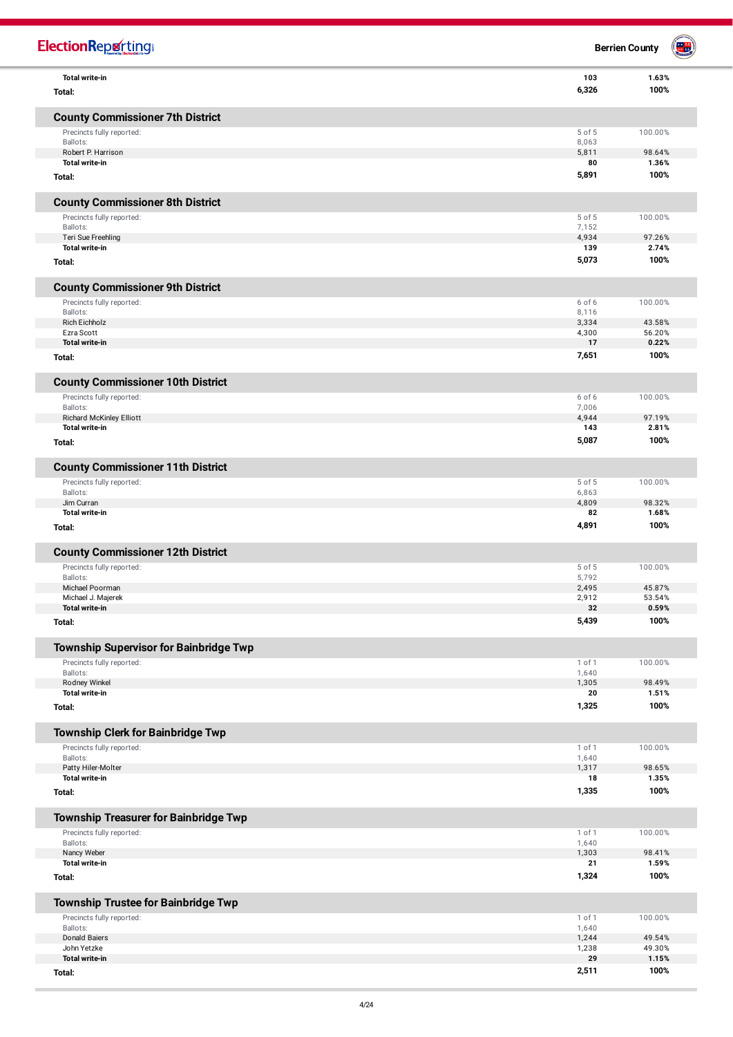| <b>ElectionRepretting®</b>                        |                | <b>Berrien County</b> | W. |
|---------------------------------------------------|----------------|-----------------------|----|
| <b>Total write-in</b>                             | 103<br>6,326   | 1.63%<br>100%         |    |
| Total:                                            |                |                       |    |
| <b>County Commissioner 7th District</b>           |                |                       |    |
| Precincts fully reported:                         | 5 of 5         | 100.00%               |    |
| Ballots:<br>Robert P. Harrison                    | 8,063<br>5,811 | 98.64%                |    |
| <b>Total write-in</b>                             | 80             | 1.36%                 |    |
| Total:                                            | 5,891          | 100%                  |    |
| <b>County Commissioner 8th District</b>           |                |                       |    |
| Precincts fully reported:                         | 5 of 5         | 100.00%               |    |
| Ballots:                                          | 7,152          |                       |    |
| Teri Sue Freehling<br><b>Total write-in</b>       | 4,934<br>139   | 97.26%<br>2.74%       |    |
| Total:                                            | 5,073          | 100%                  |    |
| <b>County Commissioner 9th District</b>           |                |                       |    |
| Precincts fully reported:                         | 6 of 6         | 100.00%               |    |
| Ballots:                                          | 8,116          |                       |    |
| <b>Rich Eichholz</b><br>Ezra Scott                | 3,334<br>4,300 | 43.58%<br>56.20%      |    |
| Total write-in                                    | 17             | 0.22%                 |    |
| Total:                                            | 7,651          | 100%                  |    |
| <b>County Commissioner 10th District</b>          |                |                       |    |
| Precincts fully reported:                         | 6 of 6         | 100.00%               |    |
| Ballots:                                          | 7,006          |                       |    |
| <b>Richard McKinley Elliott</b><br>Total write-in | 4,944<br>143   | 97.19%<br>2.81%       |    |
| Total:                                            | 5,087          | 100%                  |    |
| <b>County Commissioner 11th District</b>          |                |                       |    |
| Precincts fully reported:                         | 5 of 5         | 100.00%               |    |
| Ballots:                                          | 6,863          |                       |    |
| Jim Curran<br><b>Total write-in</b>               | 4,809<br>82    | 98.32%<br>1.68%       |    |
| Total:                                            | 4,891          | 100%                  |    |
| <b>County Commissioner 12th District</b>          |                |                       |    |
| Precincts fully reported:                         | 5 of 5         | 100.00%               |    |
| Ballots:                                          | 5,792          |                       |    |
| Michael Poorman<br>Michael J. Majerek             | 2,495<br>2,912 | 45.87%<br>53.54%      |    |
| Total write-in                                    | 32             | 0.59%                 |    |
| Total:                                            | 5,439          | 100%                  |    |
| <b>Township Supervisor for Bainbridge Twp</b>     |                |                       |    |
| Precincts fully reported:                         | 1 of 1         | 100.00%               |    |
| Ballots:                                          | 1,640<br>1,305 | 98.49%                |    |
| Rodney Winkel<br>Total write-in                   | 20             | 1.51%                 |    |
| Total:                                            | 1,325          | 100%                  |    |
| <b>Township Clerk for Bainbridge Twp</b>          |                |                       |    |
| Precincts fully reported:                         | 1 of 1         | 100.00%               |    |
| Ballots:                                          | 1,640          |                       |    |
| Patty Hiler-Molter<br><b>Total write-in</b>       | 1,317<br>18    | 98.65%<br>1.35%       |    |
| Total:                                            | 1,335          | 100%                  |    |
| <b>Township Treasurer for Bainbridge Twp</b>      |                |                       |    |
| Precincts fully reported:                         | 1 of 1         | 100.00%               |    |
| Ballots:                                          | 1,640          |                       |    |
| Nancy Weber<br><b>Total write-in</b>              | 1,303<br>21    | 98.41%<br>1.59%       |    |
| Total:                                            | 1,324          | 100%                  |    |
| <b>Township Trustee for Bainbridge Twp</b>        |                |                       |    |
| Precincts fully reported:                         | 1 of 1         | 100.00%               |    |
| Ballots:                                          | 1,640          |                       |    |
| <b>Donald Baiers</b><br>John Yetzke               | 1,244<br>1,238 | 49.54%<br>49.30%      |    |
| <b>Total write-in</b>                             | 29             | 1.15%                 |    |
| Total:                                            | 2,511          | 100%                  |    |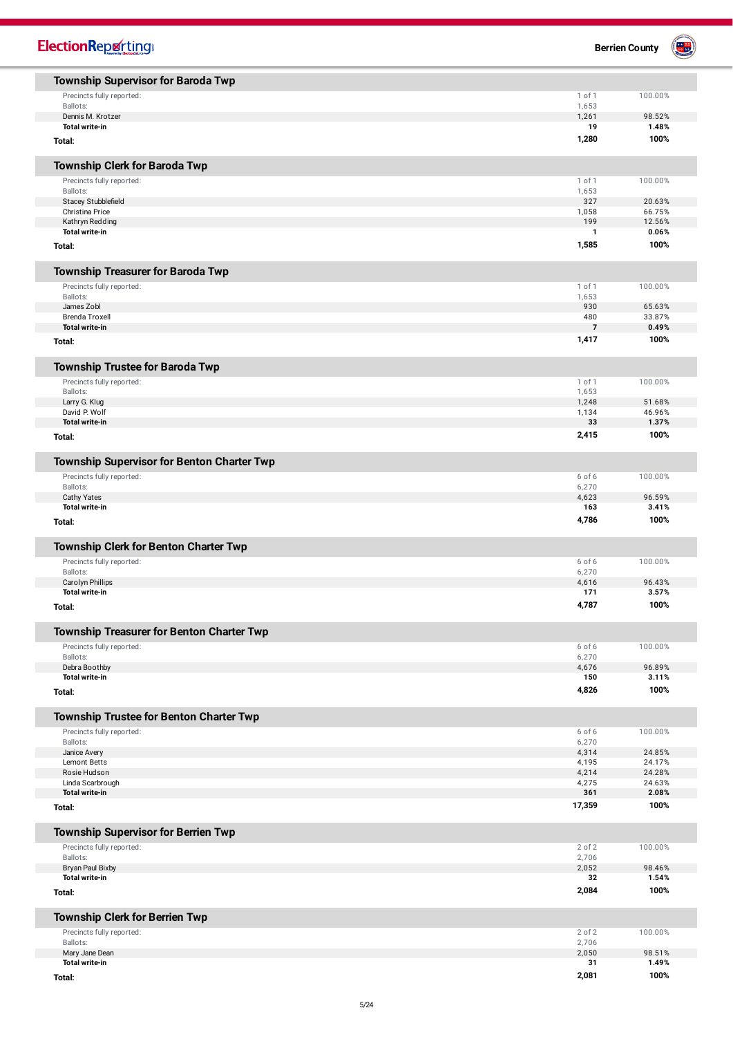| <b>ElectionReporting</b>                         |                | 풀<br><b>Berrien County</b> |
|--------------------------------------------------|----------------|----------------------------|
| <b>Township Supervisor for Baroda Twp</b>        |                |                            |
| Precincts fully reported:                        | 1 of 1         | 100.00%                    |
| Ballots:<br>Dennis M. Krotzer                    | 1,653<br>1,261 | 98.52%                     |
| <b>Total write-in</b>                            | 19             | 1.48%                      |
| Total:                                           | 1,280          | 100%                       |
| <b>Township Clerk for Baroda Twp</b>             |                |                            |
| Precincts fully reported:                        | 1 of 1         | 100.00%                    |
| Ballots:                                         | 1,653          |                            |
| Stacey Stubblefield<br>Christina Price           | 327<br>1,058   | 20.63%<br>66.75%           |
| Kathryn Redding                                  | 199            | 12.56%                     |
| <b>Total write-in</b>                            | $\mathbf{1}$   | 0.06%                      |
| Total:                                           | 1,585          | 100%                       |
| <b>Township Treasurer for Baroda Twp</b>         |                |                            |
| Precincts fully reported:                        | 1 of 1         | 100.00%                    |
| Ballots:                                         | 1,653          |                            |
| James Zobl<br><b>Brenda Troxell</b>              | 930<br>480     | 65.63%<br>33.87%           |
| <b>Total write-in</b>                            | $\overline{7}$ | 0.49%                      |
| Total:                                           | 1,417          | 100%                       |
| <b>Township Trustee for Baroda Twp</b>           |                |                            |
| Precincts fully reported:                        | 1 of 1         | 100.00%                    |
| Ballots:                                         | 1,653          |                            |
| Larry G. Klug                                    | 1,248          | 51.68%                     |
| David P. Wolf<br><b>Total write-in</b>           | 1,134<br>33    | 46.96%<br>1.37%            |
| Total:                                           | 2,415          | 100%                       |
| Township Supervisor for Benton Charter Twp       |                |                            |
| Precincts fully reported:                        | 6 of 6         | 100.00%                    |
| Ballots:                                         | 6,270          |                            |
| <b>Cathy Yates</b>                               | 4,623          | 96.59%                     |
| <b>Total write-in</b>                            | 163            | 3.41%                      |
| Total:                                           | 4,786          | 100%                       |
| <b>Township Clerk for Benton Charter Twp</b>     |                |                            |
| Precincts fully reported:                        | 6 of 6         | 100.00%                    |
| Ballots:<br>Carolyn Phillips                     | 6,270<br>4,616 | 96.43%                     |
| Total write-in                                   | 171            | 3.57%                      |
| Total:                                           | 4,787          | 100%                       |
| <b>Township Treasurer for Benton Charter Twp</b> |                |                            |
| Precincts fully reported:                        | 6 of 6         | 100.00%                    |
| Ballots:                                         | 6,270          |                            |
| Debra Boothby<br>Total write-in                  | 4,676<br>150   | 96.89%<br>3.11%            |
| Total:                                           | 4,826          | 100%                       |
| <b>Township Trustee for Benton Charter Twp</b>   |                |                            |
| Precincts fully reported:                        | 6 of 6         | 100.00%                    |
| Ballots:                                         | 6,270          |                            |
| Janice Avery<br>Lemont Betts                     | 4,314<br>4,195 | 24.85%<br>24.17%           |
| Rosie Hudson                                     | 4,214          | 24.28%                     |
| Linda Scarbrough                                 | 4,275          | 24.63%                     |
| <b>Total write-in</b>                            | 361            | 2.08%                      |
| Total:                                           | 17,359         | 100%                       |
| <b>Township Supervisor for Berrien Twp</b>       |                |                            |
| Precincts fully reported:                        | 2 of 2         | 100.00%                    |
| Ballots:<br>Bryan Paul Bixby                     | 2,706<br>2,052 | 98.46%                     |
| <b>Total write-in</b>                            | 32             | 1.54%                      |
| Total:                                           | 2,084          | 100%                       |
| <b>Township Clerk for Berrien Twp</b>            |                |                            |
| Precincts fully reported:                        | 2 of 2         | 100.00%                    |
| Ballots:                                         | 2,706          |                            |
| Mary Jane Dean<br><b>Total write-in</b>          | 2,050<br>31    | 98.51%<br>1.49%            |
| Total:                                           | 2,081          | 100%                       |
|                                                  |                |                            |

**To t a l :**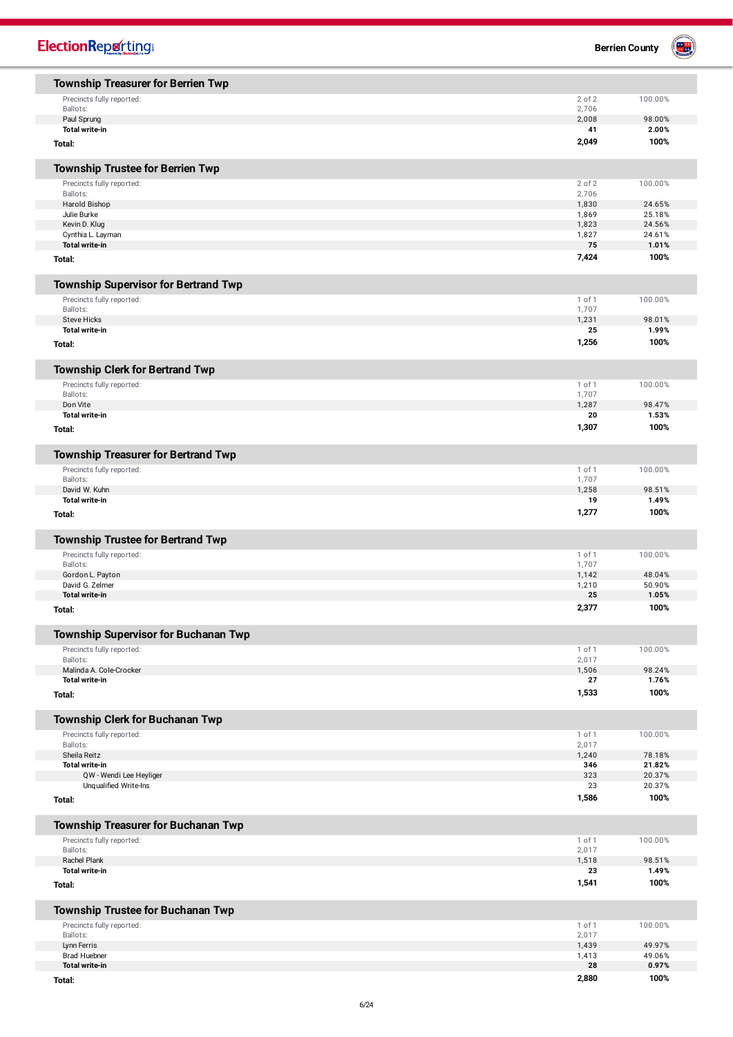| <b>ElectionReporting®</b>                   |                | 圖<br><b>Berrien County</b> |
|---------------------------------------------|----------------|----------------------------|
| <b>Township Treasurer for Berrien Twp</b>   |                |                            |
| Precincts fully reported:                   | 2 of 2         | 100.00%                    |
| Ballots:                                    | 2,706          |                            |
| Paul Sprung<br><b>Total write-in</b>        | 2,008<br>41    | 98.00%<br>2.00%            |
|                                             | 2,049          | 100%                       |
| Total:                                      |                |                            |
| <b>Township Trustee for Berrien Twp</b>     |                |                            |
| Precincts fully reported:                   | 2 of 2         | 100.00%                    |
| Ballots:                                    | 2,706          |                            |
| Harold Bishop<br>Julie Burke                | 1,830<br>1,869 | 24.65%<br>25.18%           |
| Kevin D. Klug                               | 1,823          | 24.56%                     |
| Cynthia L. Layman                           | 1,827          | 24.61%                     |
| <b>Total write-in</b>                       | 75             | 1.01%                      |
| Total:                                      | 7,424          | 100%                       |
| <b>Township Supervisor for Bertrand Twp</b> |                |                            |
| Precincts fully reported:                   | 1 of 1         | 100.00%                    |
| Ballots:                                    | 1,707          |                            |
| <b>Steve Hicks</b><br><b>Total write-in</b> | 1,231<br>25    | 98.01%<br>1.99%            |
| Total:                                      | 1,256          | 100%                       |
| <b>Township Clerk for Bertrand Twp</b>      |                |                            |
| Precincts fully reported:                   | 1 of 1         | 100.00%                    |
| Ballots:                                    | 1,707          |                            |
| Don Vite                                    | 1,287          | 98.47%                     |
| <b>Total write-in</b>                       | 20             | 1.53%                      |
| Total:                                      | 1,307          | 100%                       |
| <b>Township Treasurer for Bertrand Twp</b>  |                |                            |
| Precincts fully reported:                   | 1 of 1         | 100.00%                    |
| Ballots:                                    | 1,707          | 98.51%                     |
| David W. Kuhn<br><b>Total write-in</b>      | 1,258<br>19    | 1.49%                      |
| Total:                                      | 1,277          | 100%                       |
| <b>Township Trustee for Bertrand Twp</b>    |                |                            |
| Precincts fully reported:                   | 1 of 1         | 100.00%                    |
| Ballots:                                    | 1,707          |                            |
| Gordon L. Payton                            | 1,142          | 48.04%                     |
| David G. Zelmer<br><b>Total write-in</b>    | 1,210<br>25    | 50.90%<br>1.05%            |
| Total:                                      | 2,377          | 100%                       |
| <b>Township Supervisor for Buchanan Twp</b> |                |                            |
| Precincts fully reported:                   | 1 of 1         | 100.00%                    |
| Ballots:                                    | 2,017          |                            |
| Malinda A. Cole-Crocker                     | 1,506          | 98.24%                     |
| <b>Total write-in</b>                       | 27             | 1.76%                      |
| Total:                                      | 1,533          | 100%                       |
| <b>Township Clerk for Buchanan Twp</b>      |                |                            |
| Precincts fully reported:                   | 1 of 1         | 100.00%                    |
| Ballots:<br>Sheila Reitz                    | 2,017<br>1,240 | 78.18%                     |
| <b>Total write-in</b>                       | 346            | 21.82%                     |
| QW - Wendi Lee Heyliger                     | 323            | 20.37%                     |
| Unqualified Write-Ins                       | 23             | 20.37%                     |
| Total:                                      | 1,586          | 100%                       |
| <b>Township Treasurer for Buchanan Twp</b>  |                |                            |
| Precincts fully reported:                   | 1 of 1         | 100.00%                    |
| Ballots:<br>Rachel Plank                    | 2,017<br>1,518 | 98.51%                     |
| <b>Total write-in</b>                       | 23             | 1.49%                      |
| Total:                                      | 1,541          | 100%                       |
| <b>Township Trustee for Buchanan Twp</b>    |                |                            |
| Precincts fully reported:                   | 1 of 1         | 100.00%                    |
| Ballots:<br>Lynn Ferris                     | 2,017<br>1,439 | 49.97%                     |
| <b>Brad Huebner</b>                         | 1,413          | 49.06%                     |
| <b>Total write-in</b>                       | 28             | 0.97%                      |
| Total:                                      | 2,880          | 100%                       |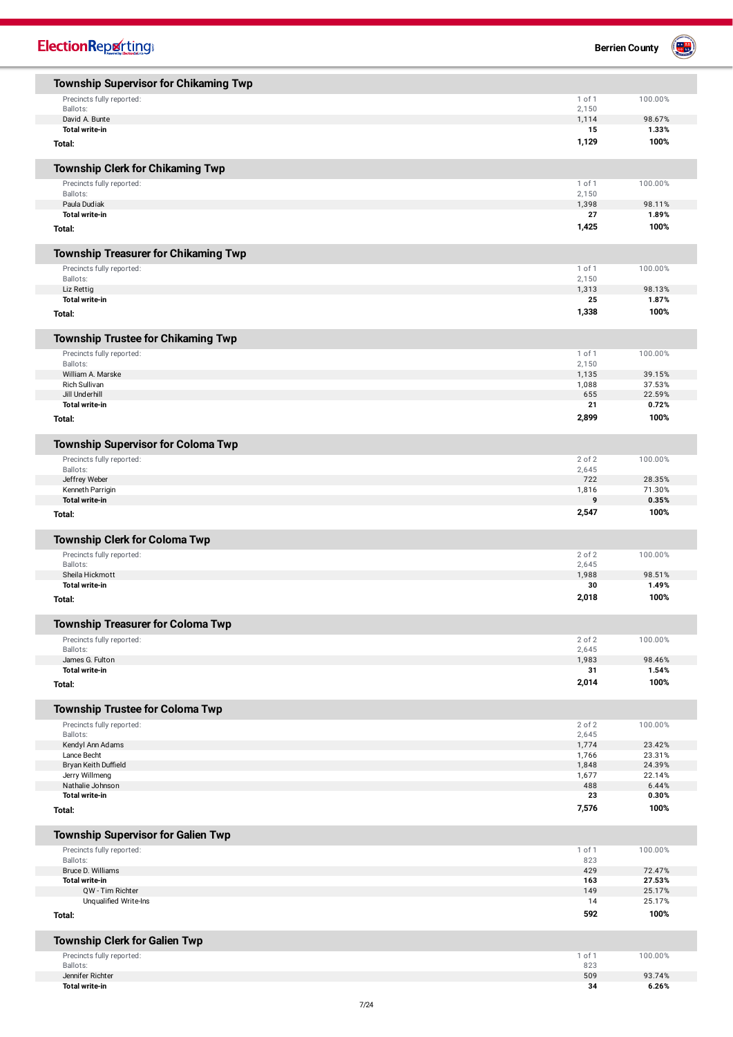| <b>ElectionReporting</b>                                               |                | <b>Berrien County</b> |
|------------------------------------------------------------------------|----------------|-----------------------|
| <b>Township Supervisor for Chikaming Twp</b>                           |                |                       |
| Precincts fully reported:                                              | 1 of 1         | 100.00%               |
| Ballots:                                                               | 2,150          |                       |
| David A. Bunte                                                         | 1,114          | 98.67%                |
| <b>Total write-in</b>                                                  | 15<br>1,129    | 1.33%<br>100%         |
| Total:                                                                 |                |                       |
| Township Clerk for Chikaming Twp                                       |                |                       |
| Precincts fully reported:                                              | 1 of 1         | 100.00%               |
| Ballots:                                                               | 2,150          |                       |
| Paula Dudiak<br><b>Total write-in</b>                                  | 1,398<br>27    | 98.11%<br>1.89%       |
| Total:                                                                 | 1,425          | 100%                  |
| <b>Township Treasurer for Chikaming Twp</b>                            |                |                       |
| Precincts fully reported:                                              | 1 of 1         | 100.00%               |
| Ballots:                                                               | 2,150          |                       |
| Liz Rettig<br><b>Total write-in</b>                                    | 1,313<br>25    | 98.13%<br>1.87%       |
| Total:                                                                 | 1,338          | 100%                  |
| <b>Township Trustee for Chikaming Twp</b>                              |                |                       |
| Precincts fully reported:                                              | 1 of 1         | 100.00%               |
| Ballots:<br>William A. Marske                                          | 2,150          |                       |
| <b>Rich Sullivan</b>                                                   | 1,135<br>1,088 | 39.15%<br>37.53%      |
| Jill Underhill                                                         | 655            | 22.59%                |
| <b>Total write-in</b>                                                  | 21             | 0.72%                 |
| Total:                                                                 | 2,899          | 100%                  |
| <b>Township Supervisor for Coloma Twp</b>                              |                |                       |
| Precincts fully reported:                                              | 2 of 2         | 100.00%               |
| Ballots:<br>Jeffrey Weber                                              | 2,645<br>722   | 28.35%                |
| Kenneth Parrigin                                                       | 1,816          | 71.30%                |
| <b>Total write-in</b>                                                  | 9              | 0.35%                 |
| Total:                                                                 | 2,547          | 100%                  |
| <b>Township Clerk for Coloma Twp</b>                                   |                |                       |
| Precincts fully reported:                                              | 2 of 2         | 100.00%               |
| Ballots:<br>Sheila Hickmott                                            | 2,645<br>1,988 | 98.51%                |
| Total write-in                                                         | 30             | 1.49%                 |
| Total:                                                                 | 2,018          | 100%                  |
| <b>Township Treasurer for Coloma Twp</b>                               |                |                       |
| Precincts fully reported:                                              | 2 of 2         | 100.00%               |
| Ballots:                                                               | 2,645          |                       |
| James G. Fulton                                                        | 1,983          | 98.46%                |
| Total write-in<br>Total:                                               | 31<br>2,014    | 1.54%<br>100%         |
|                                                                        |                |                       |
| <b>Township Trustee for Coloma Twp</b><br>Precincts fully reported:    | 2 of 2         | 100.00%               |
| Ballots:                                                               | 2,645          |                       |
| Kendyl Ann Adams                                                       | 1,774          | 23.42%                |
| Lance Becht<br>Bryan Keith Duffield                                    | 1,766<br>1,848 | 23.31%<br>24.39%      |
| Jerry Willmeng                                                         | 1,677          | 22.14%                |
| Nathalie Johnson                                                       | 488            | 6.44%                 |
| <b>Total write-in</b><br>Total:                                        | 23<br>7,576    | 0.30%<br>100%         |
|                                                                        |                |                       |
| <b>Township Supervisor for Galien Twp</b><br>Precincts fully reported: | 1 of 1         | 100.00%               |
| Ballots:                                                               | 823            |                       |
| Bruce D. Williams                                                      | 429            | 72.47%                |
| <b>Total write-in</b><br>QW - Tim Richter                              | 163<br>149     | 27.53%<br>25.17%      |
| Unqualified Write-Ins                                                  | 14             | 25.17%                |
| Total:                                                                 | 592            | 100%                  |
| <b>Township Clerk for Galien Twp</b>                                   |                |                       |
| Precincts fully reported:                                              | 1 of 1         | 100.00%               |
| Ballots:                                                               | 823            |                       |
| Jennifer Richter<br>Total write-in                                     | 509<br>34      | 93.74%<br>6.26%       |
|                                                                        |                |                       |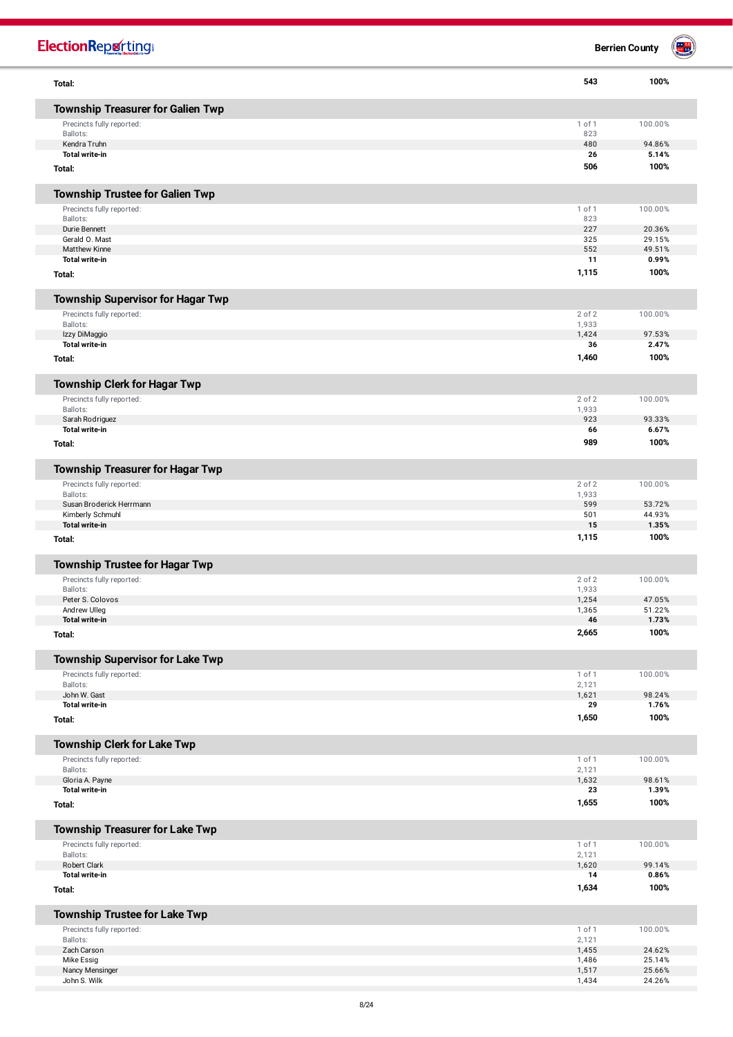| <b>ElectionReporting®</b>                |                 | $\blacksquare$<br><b>Berrien County</b> |
|------------------------------------------|-----------------|-----------------------------------------|
| Total:                                   | 543             | 100%                                    |
| <b>Township Treasurer for Galien Twp</b> |                 |                                         |
| Precincts fully reported:                | 1 of 1          | 100.00%                                 |
| Ballots:<br>Kendra Truhn                 | 823<br>480      | 94.86%                                  |
| <b>Total write-in</b>                    | 26              | 5.14%                                   |
| Total:                                   | 506             | 100%                                    |
| <b>Township Trustee for Galien Twp</b>   |                 |                                         |
| Precincts fully reported:                | 1 of 1          | 100.00%                                 |
| Ballots:                                 | 823             |                                         |
| Durie Bennett<br>Gerald O. Mast          | 227<br>325      | 20.36%<br>29.15%                        |
| <b>Matthew Kinne</b>                     | 552             | 49.51%                                  |
| <b>Total write-in</b>                    | 11              | 0.99%                                   |
| Total:                                   | 1,115           | 100%                                    |
| <b>Township Supervisor for Hagar Twp</b> |                 |                                         |
| Precincts fully reported:                | 2 of 2          | 100.00%                                 |
| Ballots:                                 | 1,933           |                                         |
| Izzy DiMaggio<br>Total write-in          | 1,424           | 97.53%                                  |
| Total:                                   | 36<br>1,460     | 2.47%<br>100%                           |
| <b>Township Clerk for Hagar Twp</b>      |                 |                                         |
| Precincts fully reported:                | 2 of 2          | 100.00%                                 |
| Ballots:                                 | 1,933           |                                         |
| Sarah Rodriguez                          | 923             | 93.33%                                  |
| Total write-in                           | 66              | 6.67%                                   |
| Total:                                   | 989             | 100%                                    |
| <b>Township Treasurer for Hagar Twp</b>  |                 |                                         |
| Precincts fully reported:                | 2 of 2          | 100.00%                                 |
| Ballots:<br>Susan Broderick Herrmann     | 1,933<br>599    | 53.72%                                  |
| Kimberly Schmuhl                         | 501             | 44.93%                                  |
| <b>Total write-in</b>                    | 15              | 1.35%                                   |
| Total:                                   | 1,115           | 100%                                    |
| <b>Township Trustee for Hagar Twp</b>    |                 |                                         |
| Precincts fully reported:                | 2 of 2          | 100.00%                                 |
| Ballots:                                 | 1,933           |                                         |
| Peter S. Colovos<br>Andrew Ulleg         | 1,254<br>1,365  | 47.05%<br>51.22%                        |
| Total write-in                           | 46              | 1.73%                                   |
| Total:                                   | 2,665           | 100%                                    |
| <b>Township Supervisor for Lake Twp</b>  |                 |                                         |
| Precincts fully reported:                | 1 of 1          | 100.00%                                 |
| Ballots:                                 | 2,121           |                                         |
| John W. Gast                             | 1,621           | 98.24%                                  |
| Total write-in<br>Total:                 | 29<br>1,650     | 1.76%<br>100%                           |
| <b>Township Clerk for Lake Twp</b>       |                 |                                         |
| Precincts fully reported:                | 1 of 1          | 100.00%                                 |
| Ballots:                                 | 2,121           |                                         |
| Gloria A. Payne<br>Total write-in        | 1,632<br>23     | 98.61%<br>1.39%                         |
| Total:                                   | 1,655           | 100%                                    |
| <b>Township Treasurer for Lake Twp</b>   |                 |                                         |
| Precincts fully reported:                | 1 of 1          | 100.00%                                 |
| Ballots:                                 | 2,121           |                                         |
| Robert Clark<br>Total write-in           | 1,620<br>14     | 99.14%<br>0.86%                         |
| Total:                                   | 1,634           | 100%                                    |
| <b>Township Trustee for Lake Twp</b>     |                 |                                         |
|                                          |                 | 100.00%                                 |
| Precincts fully reported:<br>Ballots:    | 1 of 1<br>2,121 |                                         |
| Zach Carson                              | 1,455           | 24.62%                                  |
| Mike Essig                               | 1,486           | 25.14%                                  |
| Nancy Mensinger<br>John S. Wilk          | 1,517<br>1,434  | 25.66%<br>24.26%                        |
|                                          |                 |                                         |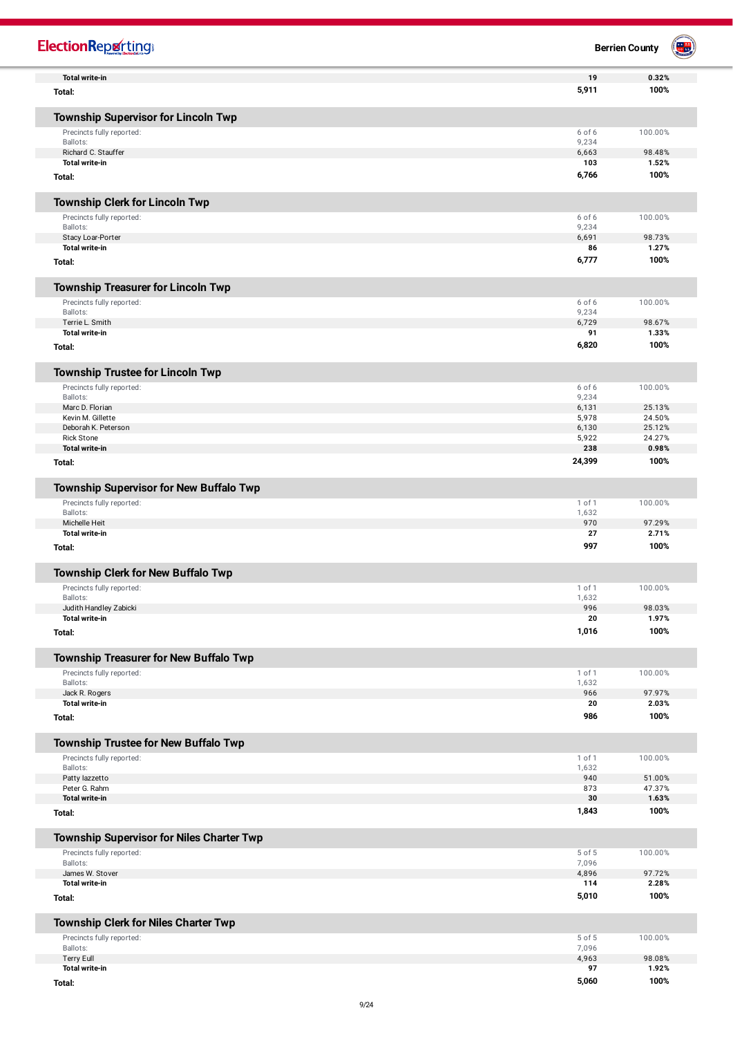| <b>ElectionReporting</b>                                          |                 | <b>Berrien County</b> |  |
|-------------------------------------------------------------------|-----------------|-----------------------|--|
| <b>Total write-in</b>                                             | 19              | 0.32%                 |  |
| Total:                                                            | 5,911           | 100%                  |  |
| <b>Township Supervisor for Lincoln Twp</b>                        |                 |                       |  |
| Precincts fully reported:                                         | 6 of 6          | 100.00%               |  |
| Ballots:                                                          | 9,234           |                       |  |
| Richard C. Stauffer<br><b>Total write-in</b>                      | 6,663<br>103    | 98.48%<br>1.52%       |  |
| Total:                                                            | 6,766           | 100%                  |  |
| <b>Township Clerk for Lincoln Twp</b>                             |                 |                       |  |
| Precincts fully reported:                                         | 6 of 6          | 100.00%               |  |
| Ballots:                                                          | 9,234           |                       |  |
| Stacy Loar-Porter                                                 | 6,691           | 98.73%                |  |
| <b>Total write-in</b>                                             | 86              | 1.27%                 |  |
| Total:                                                            | 6,777           | 100%                  |  |
| <b>Township Treasurer for Lincoln Twp</b>                         |                 |                       |  |
| Precincts fully reported:                                         | 6 of 6          | 100.00%               |  |
| Ballots:<br>Terrie L. Smith                                       | 9,234<br>6,729  | 98.67%                |  |
| <b>Total write-in</b>                                             | 91              | 1.33%                 |  |
| Total:                                                            | 6,820           | 100%                  |  |
| <b>Township Trustee for Lincoln Twp</b>                           |                 |                       |  |
| Precincts fully reported:                                         | 6 of 6          | 100.00%               |  |
| Ballots:                                                          | 9,234           |                       |  |
| Marc D. Florian                                                   | 6,131           | 25.13%                |  |
| Kevin M. Gillette<br>Deborah K. Peterson                          | 5,978<br>6,130  | 24.50%<br>25.12%      |  |
| Rick Stone                                                        | 5,922           | 24.27%                |  |
| <b>Total write-in</b>                                             | 238             | 0.98%                 |  |
| Total:                                                            | 24,399          | 100%                  |  |
| Township Supervisor for New Buffalo Twp                           |                 |                       |  |
| Precincts fully reported:                                         | 1 of 1          | 100.00%               |  |
| Ballots:                                                          | 1,632           |                       |  |
| Michelle Heit<br><b>Total write-in</b>                            | 970<br>27       | 97.29%<br>2.71%       |  |
| Total:                                                            | 997             | 100%                  |  |
| <b>Township Clerk for New Buffalo Twp</b>                         |                 |                       |  |
| Precincts fully reported:                                         | 1 of 1          | 100.00%               |  |
| Ballots:                                                          | 1,632           |                       |  |
| Judith Handley Zabicki                                            | 996             | 98.03%                |  |
| Total write-in<br>Total:                                          | 20<br>1,016     | 1.97%<br>100%         |  |
|                                                                   |                 |                       |  |
| <b>Township Treasurer for New Buffalo Twp</b>                     |                 |                       |  |
| Precincts fully reported:<br>Ballots:                             | 1 of 1<br>1,632 | 100.00%               |  |
| Jack R. Rogers                                                    | 966             | 97.97%                |  |
| <b>Total write-in</b>                                             | 20              | 2.03%                 |  |
| Total:                                                            | 986             | 100%                  |  |
| Township Trustee for New Buffalo Twp                              |                 |                       |  |
| Precincts fully reported:                                         | 1 of 1          | 100.00%               |  |
| Ballots:                                                          | 1,632           |                       |  |
| Patty lazzetto<br>Peter G. Rahm                                   | 940<br>873      | 51.00%<br>47.37%      |  |
| <b>Total write-in</b>                                             | 30              | 1.63%                 |  |
| Total:                                                            | 1,843           | 100%                  |  |
| <b>Township Supervisor for Niles Charter Twp</b>                  |                 |                       |  |
| Precincts fully reported:                                         | 5 of 5          | 100.00%               |  |
| Ballots:                                                          | 7,096           |                       |  |
| James W. Stover<br><b>Total write-in</b>                          | 4,896           | 97.72%<br>2.28%       |  |
| Total:                                                            | 114<br>5,010    | 100%                  |  |
|                                                                   |                 |                       |  |
| Township Clerk for Niles Charter Twp<br>Precincts fully reported: | 5 of 5          | 100.00%               |  |
| Ballots:                                                          | 7,096           |                       |  |
| <b>Terry Eull</b>                                                 | 4,963           | 98.08%                |  |
| <b>Total write-in</b>                                             | 97              | 1.92%                 |  |
| Total:                                                            | 5,060           | 100%                  |  |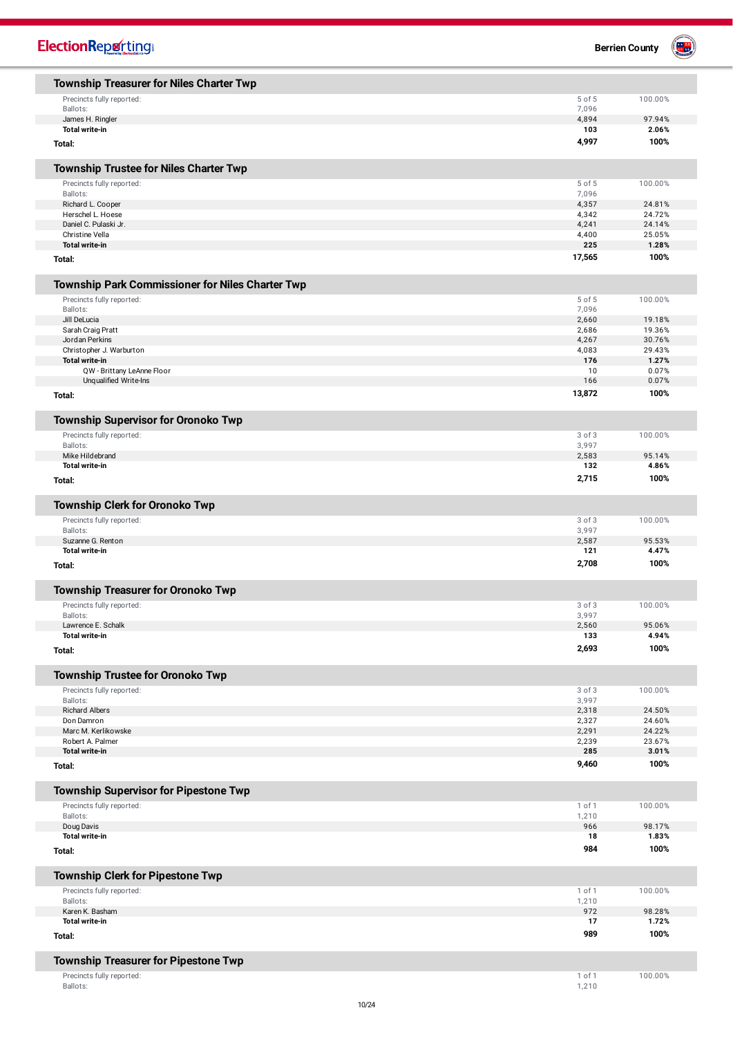| <b>ElectionReporting</b>                                             |                | <b>Berrien County</b> |
|----------------------------------------------------------------------|----------------|-----------------------|
| <b>Township Treasurer for Niles Charter Twp</b>                      |                |                       |
| Precincts fully reported:                                            | 5 of 5         | 100.00%               |
| Ballots:                                                             | 7,096          |                       |
| James H. Ringler                                                     | 4,894          | 97.94%                |
| <b>Total write-in</b>                                                | 103            | 2.06%                 |
| Total:                                                               | 4,997          | 100%                  |
| <b>Township Trustee for Niles Charter Twp</b>                        |                |                       |
| Precincts fully reported:                                            | 5 of 5         | 100.00%               |
| Ballots:                                                             | 7,096          |                       |
| Richard L. Cooper<br>Herschel L. Hoese                               | 4,357<br>4,342 | 24.81%<br>24.72%      |
| Daniel C. Pulaski Jr.                                                | 4,241          | 24.14%                |
| Christine Vella                                                      | 4,400          | 25.05%                |
| <b>Total write-in</b>                                                | 225            | 1.28%                 |
| Total:                                                               | 17,565         | 100%                  |
| Township Park Commissioner for Niles Charter Twp                     |                |                       |
| Precincts fully reported:                                            | 5 of 5         | 100.00%               |
| Ballots:<br>Jill DeLucia                                             | 7,096<br>2,660 | 19.18%                |
| Sarah Craig Pratt                                                    | 2,686          | 19.36%                |
| Jordan Perkins                                                       | 4,267          | 30.76%                |
| Christopher J. Warburton                                             | 4,083          | 29.43%                |
| <b>Total write-in</b><br>QW - Brittany LeAnne Floor                  | 176<br>10      | 1.27%<br>0.07%        |
| Unqualified Write-Ins                                                | 166            | 0.07%                 |
| Total:                                                               | 13,872         | 100%                  |
| <b>Township Supervisor for Oronoko Twp</b>                           |                |                       |
| Precincts fully reported:                                            | 3 of 3         | 100.00%               |
| Ballots:                                                             | 3,997          |                       |
| Mike Hildebrand                                                      | 2,583          | 95.14%                |
| <b>Total write-in</b>                                                | 132            | 4.86%                 |
| Total:                                                               | 2,715          | 100%                  |
| <b>Township Clerk for Oronoko Twp</b>                                |                |                       |
| Precincts fully reported:                                            | 3 of 3         | 100.00%               |
| Ballots:                                                             | 3,997          |                       |
| Suzanne G. Renton<br><b>Total write-in</b>                           | 2,587<br>121   | 95.53%<br>4.47%       |
| Total:                                                               | 2,708          | 100%                  |
| <b>Township Treasurer for Oronoko Twp</b>                            |                |                       |
| Precincts fully reported:                                            | 3 of 3         | 100.00%               |
| Ballots:                                                             | 3,997          |                       |
| Lawrence E. Schalk                                                   | 2,560          | 95.06%                |
| <b>Total write-in</b>                                                | 133<br>2,693   | 4.94%<br>100%         |
| Total:                                                               |                |                       |
| <b>Township Trustee for Oronoko Twp</b><br>Precincts fully reported: | 3 of 3         | 100.00%               |
| Ballots:                                                             | 3,997          |                       |
| Richard Albers                                                       | 2,318          | 24.50%                |
| Don Damron                                                           | 2,327          | 24.60%                |
| Marc M. Kerlikowske<br>Robert A. Palmer                              | 2,291<br>2,239 | 24.22%<br>23.67%      |
| Total write-in                                                       | 285            | 3.01%                 |
| Total:                                                               | 9,460          | 100%                  |
| <b>Township Supervisor for Pipestone Twp</b>                         |                |                       |
| Precincts fully reported:                                            | 1 of 1         | 100.00%               |
| Ballots:                                                             | 1,210          |                       |
| Doug Davis<br>Total write-in                                         | 966<br>18      | 98.17%<br>1.83%       |
| Total:                                                               | 984            | 100%                  |
| <b>Township Clerk for Pipestone Twp</b>                              |                |                       |
| Precincts fully reported:                                            | 1 of 1         | 100.00%               |
| Ballots:<br>Karen K. Basham                                          | 1,210<br>972   | 98.28%                |
| <b>Total write-in</b>                                                | 17             | 1.72%                 |
| Total:                                                               | 989            | 100%                  |
| <b>Township Treasurer for Pipestone Twp</b>                          |                |                       |
| Precincts fully reported:                                            | 1 of 1         | 100.00%               |
| Ballots:                                                             | 1,210          |                       |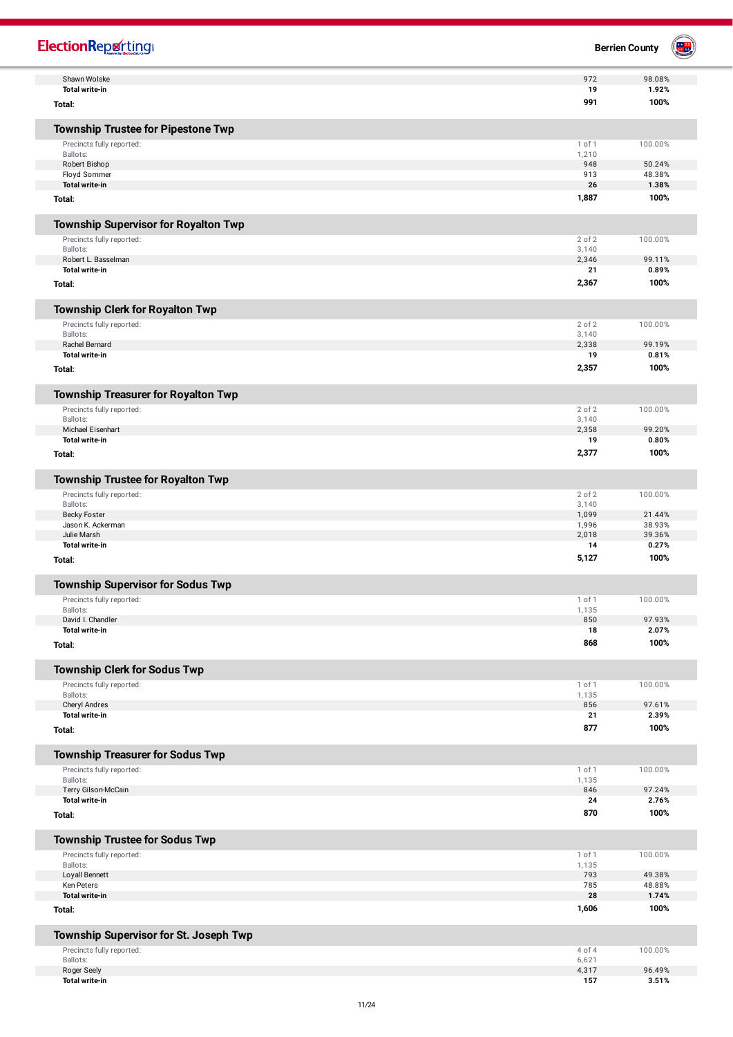| <b>ElectionRepretting®</b>                                       |                | <b>Berrien County</b> |  |
|------------------------------------------------------------------|----------------|-----------------------|--|
| Shawn Wolske                                                     | 972            | 98.08%                |  |
| <b>Total write-in</b>                                            | 19             | 1.92%                 |  |
| Total:                                                           | 991            | 100%                  |  |
| <b>Township Trustee for Pipestone Twp</b>                        |                |                       |  |
| Precincts fully reported:                                        | 1 of 1         | 100.00%               |  |
| Ballots:                                                         | 1,210<br>948   |                       |  |
| Robert Bishop<br>Floyd Sommer                                    | 913            | 50.24%<br>48.38%      |  |
| <b>Total write-in</b>                                            | 26             | 1.38%                 |  |
| Total:                                                           | 1,887          | 100%                  |  |
| <b>Township Supervisor for Royalton Twp</b>                      |                |                       |  |
|                                                                  | 2 of 2         | 100.00%               |  |
| Precincts fully reported:<br>Ballots:                            | 3,140          |                       |  |
| Robert L. Basselman                                              | 2,346          | 99.11%                |  |
| <b>Total write-in</b>                                            | 21             | 0.89%                 |  |
| Total:                                                           | 2,367          | 100%                  |  |
| <b>Township Clerk for Royalton Twp</b>                           |                |                       |  |
| Precincts fully reported:                                        | 2 of 2         | 100.00%               |  |
| Ballots:                                                         | 3,140          |                       |  |
| Rachel Bernard<br><b>Total write-in</b>                          | 2,338<br>19    | 99.19%<br>0.81%       |  |
| Total:                                                           | 2,357          | 100%                  |  |
| <b>Township Treasurer for Royalton Twp</b>                       |                |                       |  |
| Precincts fully reported:                                        | 2 of 2         | 100.00%               |  |
| Ballots:                                                         | 3,140          |                       |  |
| Michael Eisenhart                                                | 2,358          | 99.20%                |  |
| <b>Total write-in</b>                                            | 19             | 0.80%                 |  |
| Total:                                                           | 2,377          | 100%                  |  |
| <b>Township Trustee for Royalton Twp</b>                         |                |                       |  |
| Precincts fully reported:                                        | 2 of 2         | 100.00%               |  |
| Ballots:<br><b>Becky Foster</b>                                  | 3,140<br>1,099 | 21.44%                |  |
| Jason K. Ackerman                                                | 1,996          | 38.93%                |  |
| Julie Marsh                                                      | 2,018          | 39.36%                |  |
| <b>Total write-in</b>                                            | 14             | 0.27%                 |  |
| Total:                                                           | 5,127          | 100%                  |  |
| <b>Township Supervisor for Sodus Twp</b>                         |                |                       |  |
| Precincts fully reported:                                        | 1 of 1         | 100.00%               |  |
| Ballots:                                                         | 1,135          |                       |  |
| David I. Chandler<br><b>Total write-in</b>                       | 850            | 97.93%                |  |
| Total:                                                           | 18<br>868      | 2.07%<br>100%         |  |
|                                                                  |                |                       |  |
| <b>Township Clerk for Sodus Twp</b><br>Precincts fully reported: | 1 of 1         | 100.00%               |  |
| Ballots:                                                         | 1,135          |                       |  |
| Cheryl Andres                                                    | 856            | 97.61%                |  |
| <b>Total write-in</b><br>Total:                                  | 21<br>877      | 2.39%<br>100%         |  |
|                                                                  |                |                       |  |
| <b>Township Treasurer for Sodus Twp</b>                          |                |                       |  |
| Precincts fully reported:                                        | 1 of 1         | 100.00%               |  |
| Ballots:<br>Terry Gilson-McCain                                  | 1,135<br>846   | 97.24%                |  |
| <b>Total write-in</b>                                            | 24             | 2.76%                 |  |
| Total:                                                           | 870            | 100%                  |  |
| <b>Township Trustee for Sodus Twp</b>                            |                |                       |  |
| Precincts fully reported:                                        | 1 of 1         | 100.00%               |  |
| Ballots:                                                         | 1,135          |                       |  |
| Loyall Bennett                                                   | 793            | 49.38%                |  |
| Ken Peters<br><b>Total write-in</b>                              | 785<br>28      | 48.88%<br>1.74%       |  |
|                                                                  | 1,606          | 100%                  |  |
| Total:                                                           |                |                       |  |
| Township Supervisor for St. Joseph Twp                           |                |                       |  |
| Precincts fully reported:                                        | 4 of 4         | 100.00%               |  |
| Ballots:                                                         | 6,621<br>4,317 | 96.49%                |  |
| Roger Seely<br><b>Total write-in</b>                             | 157            | 3.51%                 |  |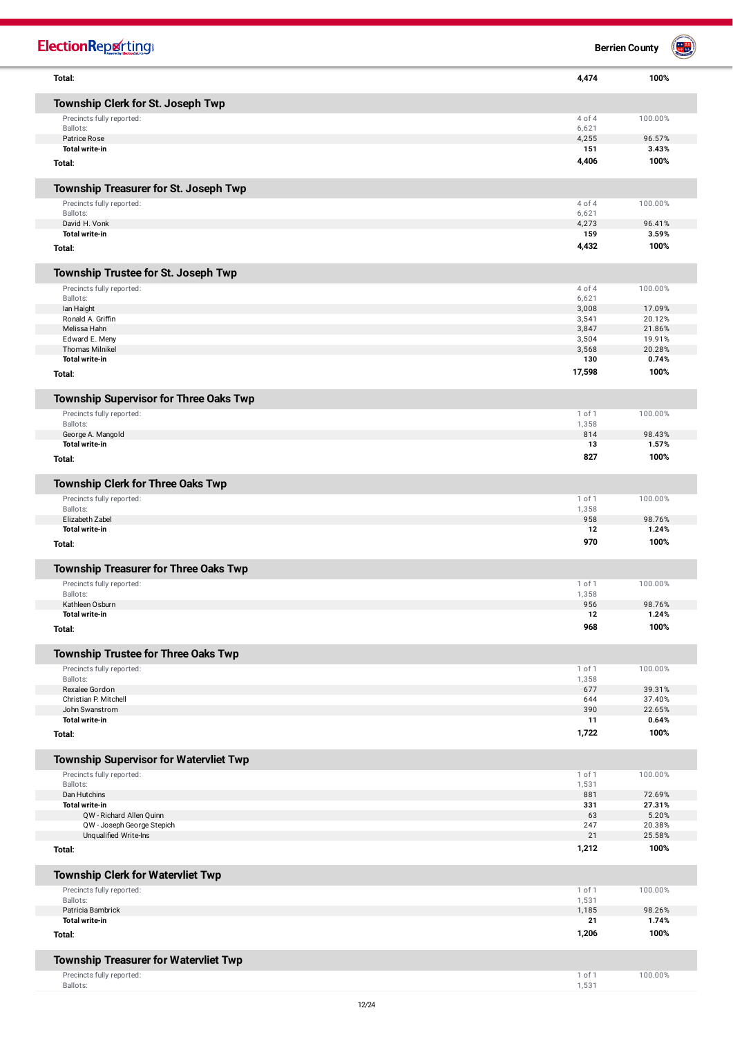| <b>ElectionReporting®</b>                                                 |                | <b>Berrien County</b> |  |
|---------------------------------------------------------------------------|----------------|-----------------------|--|
| Total:                                                                    | 4,474          | 100%                  |  |
| Township Clerk for St. Joseph Twp                                         |                |                       |  |
| Precincts fully reported:                                                 | 4 of 4         | 100.00%               |  |
| Ballots:                                                                  | 6,621          |                       |  |
| Patrice Rose<br><b>Total write-in</b>                                     | 4,255<br>151   | 96.57%<br>3.43%       |  |
|                                                                           | 4,406          | 100%                  |  |
| Total:                                                                    |                |                       |  |
| Township Treasurer for St. Joseph Twp                                     |                |                       |  |
| Precincts fully reported:                                                 | 4 of 4         | 100.00%               |  |
| Ballots:<br>David H. Vonk                                                 | 6,621<br>4,273 | 96.41%                |  |
| <b>Total write-in</b>                                                     | 159            | 3.59%                 |  |
| Total:                                                                    | 4,432          | 100%                  |  |
| Township Trustee for St. Joseph Twp                                       |                |                       |  |
| Precincts fully reported:                                                 | 4 of 4         | 100.00%               |  |
| Ballots:                                                                  | 6,621          |                       |  |
| lan Haight<br>Ronald A. Griffin                                           | 3,008<br>3,541 | 17.09%<br>20.12%      |  |
| Melissa Hahn                                                              | 3,847          | 21.86%                |  |
| Edward E. Meny                                                            | 3,504          | 19.91%                |  |
| <b>Thomas Milnikel</b>                                                    | 3,568          | 20.28%                |  |
| <b>Total write-in</b>                                                     | 130            | 0.74%                 |  |
| Total:                                                                    | 17,598         | 100%                  |  |
| Township Supervisor for Three Oaks Twp                                    |                |                       |  |
| Precincts fully reported:                                                 | 1 of 1         | 100.00%               |  |
| Ballots:                                                                  | 1,358          |                       |  |
| George A. Mangold<br><b>Total write-in</b>                                | 814<br>13      | 98.43%<br>1.57%       |  |
| Total:                                                                    | 827            | 100%                  |  |
|                                                                           |                |                       |  |
| Township Clerk for Three Oaks Twp<br>Precincts fully reported:            | 1 of 1         | 100.00%               |  |
| Ballots:                                                                  | 1,358          |                       |  |
| Elizabeth Zabel                                                           | 958            | 98.76%                |  |
| <b>Total write-in</b>                                                     | 12             | 1.24%                 |  |
| Total:                                                                    | 970            | 100%                  |  |
| <b>Township Treasurer for Three Oaks Twp</b>                              |                |                       |  |
| Precincts fully reported:                                                 | 1 of 1         | 100.00%               |  |
| Ballots:                                                                  | 1,358          |                       |  |
| Kathleen Osburn                                                           | 956            | 98.76%                |  |
| <b>Total write-in</b><br>Total:                                           | 12<br>968      | 1.24%<br>100%         |  |
|                                                                           |                |                       |  |
| Township Trustee for Three Oaks Twp<br>Precincts fully reported:          | 1 of 1         | 100.00%               |  |
| Ballots:                                                                  | 1,358          |                       |  |
| Rexalee Gordon                                                            | 677            | 39.31%                |  |
| Christian P. Mitchell<br>John Swanstrom                                   | 644<br>390     | 37.40%<br>22.65%      |  |
| <b>Total write-in</b>                                                     | 11             | 0.64%                 |  |
| Total:                                                                    | 1,722          | 100%                  |  |
| <b>Township Supervisor for Watervliet Twp</b>                             |                |                       |  |
| Precincts fully reported:                                                 | 1 of 1         | 100.00%               |  |
| Ballots:                                                                  | 1,531          |                       |  |
| Dan Hutchins                                                              | 881            | 72.69%                |  |
| <b>Total write-in</b>                                                     | 331            | 27.31%                |  |
| QW - Richard Allen Quinn<br>QW - Joseph George Stepich                    | 63<br>247      | 5.20%<br>20.38%       |  |
| Unqualified Write-Ins                                                     | 21             | 25.58%                |  |
| Total:                                                                    | 1,212          | 100%                  |  |
| <b>Township Clerk for Watervliet Twp</b>                                  |                |                       |  |
| Precincts fully reported:                                                 | 1 of 1         | 100.00%               |  |
| Ballots:                                                                  | 1,531          |                       |  |
| Patricia Bambrick<br><b>Total write-in</b>                                | 1,185<br>21    | 98.26%<br>1.74%       |  |
| Total:                                                                    | 1,206          | 100%                  |  |
|                                                                           |                |                       |  |
| <b>Township Treasurer for Watervliet Twp</b><br>Precincts fully reported: | 1 of 1         | 100.00%               |  |
| Ballots:                                                                  | 1,531          |                       |  |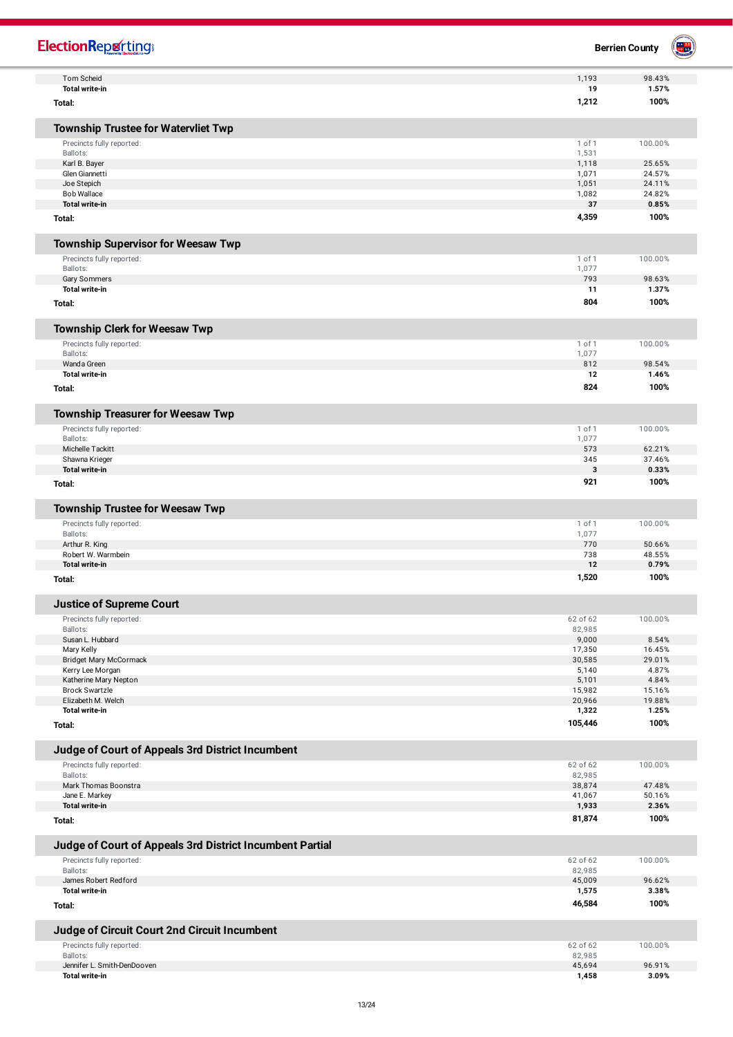| <b>ElectionRepretting®</b>                               |                  | <b>Berrien County</b> |  |
|----------------------------------------------------------|------------------|-----------------------|--|
| Tom Scheid                                               | 1,193            | 98.43%                |  |
| <b>Total write-in</b>                                    | 19               | 1.57%                 |  |
| Total:                                                   | 1,212            | 100%                  |  |
| <b>Township Trustee for Watervliet Twp</b>               |                  |                       |  |
| Precincts fully reported:                                | 1 of 1           | 100.00%               |  |
| Ballots:                                                 | 1,531            |                       |  |
| Karl B. Bayer<br>Glen Giannetti                          | 1,118<br>1,071   | 25.65%<br>24.57%      |  |
| Joe Stepich                                              | 1,051            | 24.11%                |  |
| <b>Bob Wallace</b>                                       | 1,082            | 24.82%                |  |
| <b>Total write-in</b>                                    | 37               | 0.85%                 |  |
| Total:                                                   | 4,359            | 100%                  |  |
| <b>Township Supervisor for Weesaw Twp</b>                |                  |                       |  |
| Precincts fully reported:                                | 1 of 1           | 100.00%               |  |
| Ballots:                                                 | 1,077            |                       |  |
| Gary Sommers<br><b>Total write-in</b>                    | 793<br>11        | 98.63%<br>1.37%       |  |
|                                                          | 804              | 100%                  |  |
| Total:                                                   |                  |                       |  |
| <b>Township Clerk for Weesaw Twp</b>                     |                  |                       |  |
| Precincts fully reported:                                | 1 of 1           | 100.00%               |  |
| Ballots:<br>Wanda Green                                  | 1,077<br>812     | 98.54%                |  |
| <b>Total write-in</b>                                    | 12               | 1.46%                 |  |
| Total:                                                   | 824              | 100%                  |  |
|                                                          |                  |                       |  |
| <b>Township Treasurer for Weesaw Twp</b>                 |                  |                       |  |
| Precincts fully reported:<br>Ballots:                    | 1 of 1<br>1,077  | 100.00%               |  |
| Michelle Tackitt                                         | 573              | 62.21%                |  |
| Shawna Krieger                                           | 345              | 37.46%                |  |
| <b>Total write-in</b>                                    | 3                | 0.33%                 |  |
| Total:                                                   | 921              | 100%                  |  |
| <b>Township Trustee for Weesaw Twp</b>                   |                  |                       |  |
| Precincts fully reported:                                | 1 of 1           | 100.00%               |  |
| Ballots:<br>Arthur R. King                               | 1,077<br>770     | 50.66%                |  |
| Robert W. Warmbein                                       | 738              | 48.55%                |  |
| <b>Total write-in</b>                                    | 12               | 0.79%                 |  |
| Total:                                                   | 1,520            | 100%                  |  |
| <b>Justice of Supreme Court</b>                          |                  |                       |  |
| Precincts fully reported:                                | 62 of 62         | 100.00%               |  |
| Ballots:                                                 | 82,985           |                       |  |
| Susan L. Hubbard<br>Mary Kelly                           | 9,000<br>17,350  | 8.54%<br>16.45%       |  |
| <b>Bridget Mary McCormack</b>                            | 30,585           | 29.01%                |  |
| Kerry Lee Morgan                                         | 5,140            | 4.87%                 |  |
| Katherine Mary Nepton<br><b>Brock Swartzle</b>           | 5,101<br>15,982  | 4.84%<br>15.16%       |  |
| Elizabeth M. Welch                                       | 20,966           | 19.88%                |  |
| <b>Total write-in</b>                                    | 1,322            | 1.25%                 |  |
| Total:                                                   | 105,446          | 100%                  |  |
| Judge of Court of Appeals 3rd District Incumbent         |                  |                       |  |
| Precincts fully reported:                                | 62 of 62         | 100.00%               |  |
| Ballots:                                                 | 82,985           |                       |  |
| Mark Thomas Boonstra<br>Jane E. Markey                   | 38,874<br>41,067 | 47.48%<br>50.16%      |  |
| Total write-in                                           | 1,933            | 2.36%                 |  |
| Total:                                                   | 81,874           | 100%                  |  |
| Judge of Court of Appeals 3rd District Incumbent Partial |                  |                       |  |
| Precincts fully reported:                                | 62 of 62         | 100.00%               |  |
| Ballots:                                                 | 82,985           |                       |  |
| James Robert Redford<br><b>Total write-in</b>            | 45,009           | 96.62%                |  |
| Total:                                                   | 1,575<br>46,584  | 3.38%<br>100%         |  |
|                                                          |                  |                       |  |
| Judge of Circuit Court 2nd Circuit Incumbent             |                  |                       |  |
| Precincts fully reported:                                | 62 of 62         | 100.00%               |  |
| Ballots:<br>Jennifer L. Smith-DenDooven                  | 82,985<br>45,694 | 96.91%                |  |
| <b>Total write-in</b>                                    | 1,458            | 3.09%                 |  |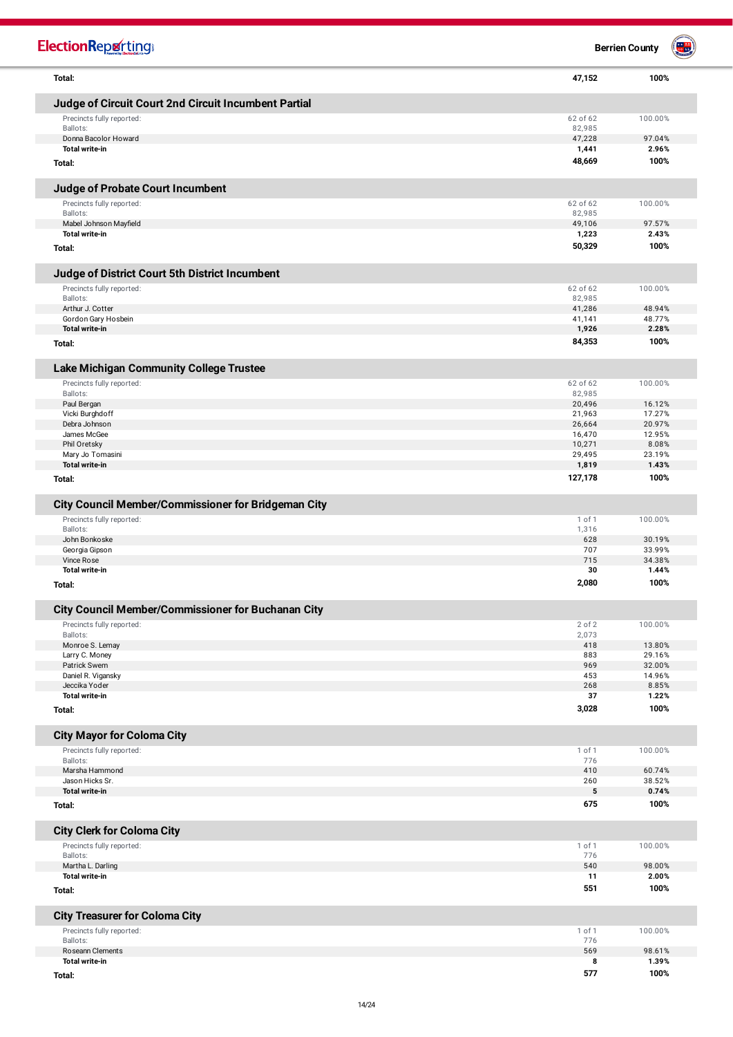| <b>ElectionReporting</b>                                                                |                  | <b>Berrien County</b> |
|-----------------------------------------------------------------------------------------|------------------|-----------------------|
| Total:                                                                                  | 47,152           | 100%                  |
| Judge of Circuit Court 2nd Circuit Incumbent Partial                                    |                  |                       |
| Precincts fully reported:                                                               | 62 of 62         | 100.00%               |
| Ballots:<br>Donna Bacolor Howard                                                        | 82,985           | 97.04%                |
| <b>Total write-in</b>                                                                   | 47,228<br>1,441  | 2.96%                 |
| Total:                                                                                  | 48,669           | 100%                  |
| Judge of Probate Court Incumbent                                                        |                  |                       |
| Precincts fully reported:                                                               | 62 of 62         | 100.00%               |
| Ballots:<br>Mabel Johnson Mayfield                                                      | 82,985<br>49,106 | 97.57%                |
| <b>Total write-in</b>                                                                   | 1,223            | 2.43%                 |
| Total:                                                                                  | 50,329           | 100%                  |
| Judge of District Court 5th District Incumbent                                          |                  |                       |
| Precincts fully reported:                                                               | 62 of 62         | 100.00%               |
| Ballots:<br>Arthur J. Cotter                                                            | 82,985<br>41,286 | 48.94%                |
| Gordon Gary Hosbein                                                                     | 41,141           | 48.77%                |
| <b>Total write-in</b>                                                                   | 1,926            | 2.28%                 |
| Total:                                                                                  | 84,353           | 100%                  |
| <b>Lake Michigan Community College Trustee</b>                                          |                  |                       |
| Precincts fully reported:                                                               | 62 of 62         | 100.00%               |
| Ballots:<br>Paul Bergan                                                                 | 82,985<br>20,496 | 16.12%                |
| Vicki Burghdoff                                                                         | 21,963           | 17.27%                |
| Debra Johnson<br>James McGee                                                            | 26,664<br>16,470 | 20.97%<br>12.95%      |
| Phil Oretsky                                                                            | 10,271           | 8.08%                 |
| Mary Jo Tomasini                                                                        | 29,495           | 23.19%                |
| <b>Total write-in</b><br>Total:                                                         | 1,819<br>127,178 | 1.43%<br>100%         |
|                                                                                         |                  |                       |
| <b>City Council Member/Commissioner for Bridgeman City</b><br>Precincts fully reported: | 1 of 1           | 100.00%               |
| Ballots:                                                                                | 1,316            |                       |
| John Bonkoske                                                                           | 628              | 30.19%                |
| Georgia Gipson<br>Vince Rose                                                            | 707<br>715       | 33.99%<br>34.38%      |
| <b>Total write-in</b>                                                                   | 30               | 1.44%                 |
| Total:                                                                                  | 2,080            | 100%                  |
| <b>City Council Member/Commissioner for Buchanan City</b>                               |                  |                       |
| Precincts fully reported:                                                               | 2 of 2           | 100.00%               |
| Ballots:<br>Monroe S. Lemay                                                             | 2,073<br>418     | 13.80%                |
| Larry C. Money                                                                          | 883              | 29.16%                |
| Patrick Swem<br>Daniel R. Vigansky                                                      | 969<br>453       | 32.00%<br>14.96%      |
| Jeccika Yoder                                                                           | 268              | 8.85%                 |
| <b>Total write-in</b>                                                                   | 37               | 1.22%                 |
| Total:                                                                                  | 3,028            | 100%                  |
| <b>City Mayor for Coloma City</b>                                                       |                  |                       |
| Precincts fully reported:                                                               | 1 of 1           | 100.00%               |
| Ballots:<br>Marsha Hammond                                                              | 776<br>410       | 60.74%                |
| Jason Hicks Sr.                                                                         | 260              | 38.52%                |
| <b>Total write-in</b>                                                                   | 5<br>675         | 0.74%<br>100%         |
| Total:                                                                                  |                  |                       |
| <b>City Clerk for Coloma City</b>                                                       |                  |                       |
| Precincts fully reported:<br>Ballots:                                                   | 1 of 1<br>776    | 100.00%               |
| Martha L. Darling                                                                       | 540              | 98.00%                |
| <b>Total write-in</b>                                                                   | 11<br>551        | 2.00%<br>100%         |
| Total:                                                                                  |                  |                       |
| <b>City Treasurer for Coloma City</b>                                                   |                  |                       |
| Precincts fully reported:<br>Ballots:                                                   | 1 of 1<br>776    | 100.00%               |
| Roseann Clements                                                                        | 569              | 98.61%                |
| <b>Total write-in</b>                                                                   | 8                | 1.39%                 |
| Total:                                                                                  | 577              | 100%                  |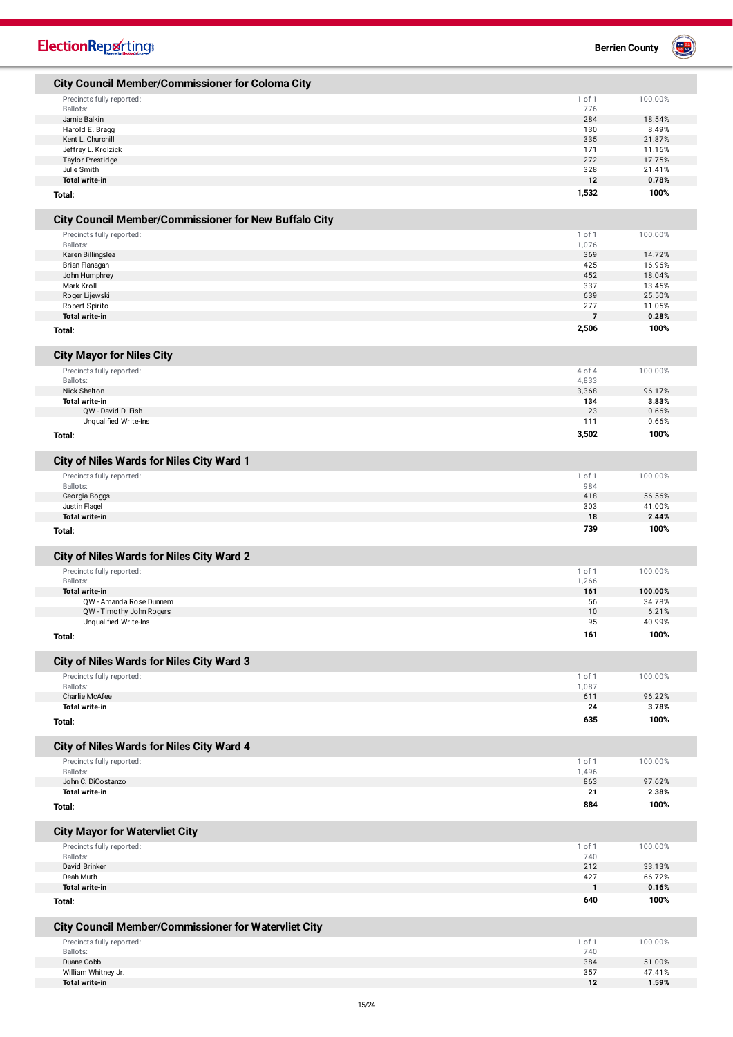| <b>ElectionReporting®</b>                                                                |                     | <b>Berrien County</b> |
|------------------------------------------------------------------------------------------|---------------------|-----------------------|
| <b>City Council Member/Commissioner for Coloma City</b>                                  |                     |                       |
| Precincts fully reported:                                                                | 1 of 1              | 100.00%               |
| Ballots:                                                                                 | 776                 |                       |
| Jamie Balkin                                                                             | 284                 | 18.54%                |
| Harold E. Bragg                                                                          | 130                 | 8.49%                 |
| Kent L. Churchill                                                                        | 335                 | 21.87%                |
| Jeffrey L. Krolzick<br><b>Taylor Prestidge</b>                                           | 171<br>272          | 11.16%<br>17.75%      |
| Julie Smith                                                                              | 328                 | 21.41%                |
| <b>Total write-in</b>                                                                    | 12                  | 0.78%                 |
| Total:                                                                                   | 1,532               | 100%                  |
| City Council Member/Commissioner for New Buffalo City                                    |                     |                       |
| Precincts fully reported:                                                                | 1 of 1              | 100.00%               |
| Ballots:                                                                                 | 1,076               |                       |
| Karen Billingslea                                                                        | 369                 | 14.72%                |
| Brian Flanagan                                                                           | 425                 | 16.96%                |
| John Humphrey                                                                            | 452                 | 18.04%                |
| Mark Kroll                                                                               | 337                 | 13.45%                |
| Roger Lijewski                                                                           | 639                 | 25.50%                |
| Robert Spirito                                                                           | 277                 | 11.05%                |
| <b>Total write-in</b>                                                                    | $\overline{7}$      | 0.28%                 |
| Total:                                                                                   | 2,506               | 100%                  |
| <b>City Mayor for Niles City</b>                                                         |                     |                       |
| Precincts fully reported:                                                                | 4 of 4              | 100.00%               |
| Ballots:                                                                                 | 4,833               | 96.17%                |
| Nick Shelton<br><b>Total write-in</b>                                                    | 3,368<br>134        | 3.83%                 |
| QW - David D. Fish                                                                       | 23                  | 0.66%                 |
| Unqualified Write-Ins                                                                    | 111                 | 0.66%                 |
| Total:                                                                                   | 3,502               | 100%                  |
| City of Niles Wards for Niles City Ward 1                                                |                     |                       |
| Precincts fully reported:                                                                | 1 of 1              | 100.00%               |
| Ballots:                                                                                 | 984                 |                       |
| Georgia Boggs                                                                            | 418                 | 56.56%                |
| Justin Flagel                                                                            | 303                 | 41.00%                |
| <b>Total write-in</b>                                                                    | 18                  | 2.44%                 |
| Total:                                                                                   | 739                 | 100%                  |
| City of Niles Wards for Niles City Ward 2                                                |                     |                       |
| Precincts fully reported:                                                                | 1 of 1              | 100.00%               |
| Ballots:                                                                                 | 1,266               |                       |
| Total write-in                                                                           | 161                 | 100.00%               |
| QW - Amanda Rose Dunnem                                                                  | 56                  | 34.78%                |
| QW - Timothy John Rogers                                                                 | 10                  | 6.21%                 |
| Unqualified Write-Ins                                                                    | 95                  | 40.99%                |
| Total:                                                                                   | 161                 | 100%                  |
| City of Niles Wards for Niles City Ward 3                                                |                     |                       |
| Precincts fully reported:                                                                | 1 of 1              | 100.00%               |
| Ballots:                                                                                 | 1,087               |                       |
| Charlie McAfee                                                                           | 611                 | 96.22%                |
| <b>Total write-in</b>                                                                    | 24                  | 3.78%                 |
| Total:                                                                                   | 635                 | 100%                  |
| City of Niles Wards for Niles City Ward 4                                                |                     |                       |
| Precincts fully reported:                                                                | 1 of 1              | 100.00%               |
| Ballots:                                                                                 | 1,496               |                       |
| John C. DiCostanzo                                                                       | 863                 | 97.62%                |
| <b>Total write-in</b>                                                                    | 21                  | 2.38%                 |
| Total:                                                                                   | 884                 | 100%                  |
| <b>City Mayor for Watervliet City</b>                                                    |                     |                       |
| Precincts fully reported:                                                                | 1 of 1              | 100.00%               |
| Ballots:                                                                                 | 740                 |                       |
| David Brinker                                                                            | 212                 | 33.13%                |
| Deah Muth<br><b>Total write-in</b>                                                       | 427<br>$\mathbf{1}$ | 66.72%<br>0.16%       |
| Total:                                                                                   | 640                 | 100%                  |
|                                                                                          |                     |                       |
| <b>City Council Member/Commissioner for Watervliet City</b><br>Precincts fully reported: | 1 of 1              | 100.00%               |
| Ballots:                                                                                 | 740                 |                       |
| Duane Cobb                                                                               | 384                 | 51.00%                |
| William Whitney Jr.                                                                      | 357                 | 47.41%                |
| <b>Total write-in</b>                                                                    | 12                  | 1.59%                 |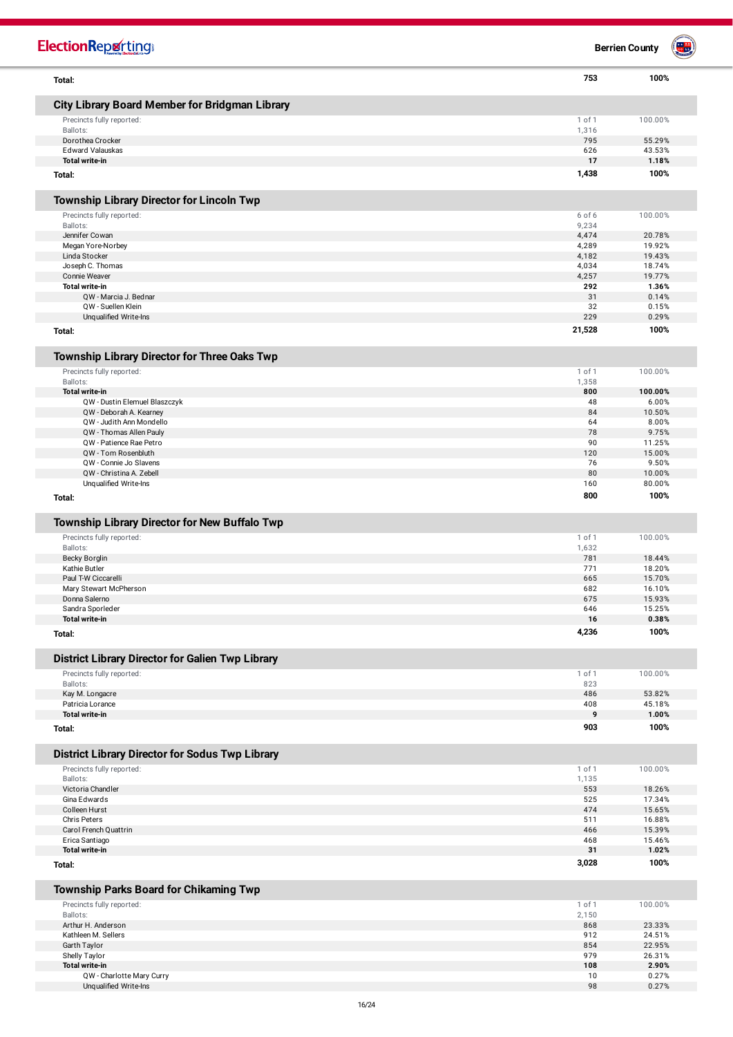| <b>ElectionRepretting</b>                                |                 | <b>Berrien County</b> | an <mark>aa</mark> |
|----------------------------------------------------------|-----------------|-----------------------|--------------------|
| Total:                                                   | 753             | 100%                  |                    |
| <b>City Library Board Member for Bridgman Library</b>    |                 |                       |                    |
| Precincts fully reported:                                | 1 of 1          | 100.00%               |                    |
| Ballots:<br>Dorothea Crocker                             | 1,316<br>795    |                       |                    |
| <b>Edward Valauskas</b>                                  | 626             | 55.29%<br>43.53%      |                    |
| <b>Total write-in</b>                                    | 17              | 1.18%                 |                    |
| Total:                                                   | 1,438           | 100%                  |                    |
| <b>Township Library Director for Lincoln Twp</b>         |                 |                       |                    |
| Precincts fully reported:                                | 6 of 6          | 100.00%               |                    |
| Ballots:                                                 | 9,234           |                       |                    |
| Jennifer Cowan<br>Megan Yore-Norbey                      | 4,474<br>4,289  | 20.78%<br>19.92%      |                    |
| Linda Stocker                                            | 4,182           | 19.43%                |                    |
| Joseph C. Thomas                                         | 4,034           | 18.74%                |                    |
| Connie Weaver                                            | 4,257           | 19.77%                |                    |
| Total write-in<br>QW - Marcia J. Bednar                  | 292<br>31       | 1.36%<br>0.14%        |                    |
| QW - Suellen Klein                                       | 32              | 0.15%                 |                    |
| Unqualified Write-Ins                                    | 229             | 0.29%                 |                    |
| Total:                                                   | 21,528          | 100%                  |                    |
| Township Library Director for Three Oaks Twp             |                 |                       |                    |
| Precincts fully reported:                                | 1 of 1          | 100.00%               |                    |
| Ballots:                                                 | 1,358           |                       |                    |
| Total write-in                                           | 800             | 100.00%               |                    |
| QW - Dustin Elemuel Blaszczyk<br>QW - Deborah A. Kearney | 48<br>84        | 6.00%<br>10.50%       |                    |
| QW - Judith Ann Mondello                                 | 64              | 8.00%                 |                    |
| QW - Thomas Allen Pauly                                  | 78              | 9.75%                 |                    |
| QW - Patience Rae Petro                                  | 90              | 11.25%                |                    |
| QW - Tom Rosenbluth                                      | 120             | 15.00%                |                    |
| QW - Connie Jo Slavens<br>QW - Christina A. Zebell       | 76<br>80        | 9.50%<br>10.00%       |                    |
| Unqualified Write-Ins                                    | 160             | 80.00%                |                    |
| Total:                                                   | 800             | 100%                  |                    |
| Township Library Director for New Buffalo Twp            |                 |                       |                    |
| Precincts fully reported:                                | 1 of 1          | 100.00%               |                    |
| Ballots:                                                 | 1,632           |                       |                    |
| <b>Becky Borglin</b>                                     | 781             | 18.44%                |                    |
| Kathie Butler<br>Paul T-W Ciccarelli                     | 771<br>665      | 18.20%<br>15.70%      |                    |
| Mary Stewart McPherson                                   | 682             | 16.10%                |                    |
| Donna Salerno                                            | 675             | 15.93%                |                    |
| Sandra Sporleder                                         | 646             | 15.25%                |                    |
| <b>Total write-in</b>                                    | 16              | 0.38%                 |                    |
| Total:                                                   | 4,236           | 100%                  |                    |
| <b>District Library Director for Galien Twp Library</b>  |                 |                       |                    |
| Precincts fully reported:                                | 1 of 1          | 100.00%               |                    |
| Ballots:<br>Kay M. Longacre                              | 823<br>486      | 53.82%                |                    |
| Patricia Lorance                                         | 408             | 45.18%                |                    |
| <b>Total write-in</b>                                    | 9               | 1.00%                 |                    |
| Total:                                                   | 903             | 100%                  |                    |
| <b>District Library Director for Sodus Twp Library</b>   |                 |                       |                    |
| Precincts fully reported:                                | 1 of 1          | 100.00%               |                    |
| Ballots:                                                 | 1,135           |                       |                    |
| Victoria Chandler                                        | 553             | 18.26%                |                    |
| Gina Edwards<br>Colleen Hurst                            | 525<br>474      | 17.34%<br>15.65%      |                    |
| Chris Peters                                             | 511             | 16.88%                |                    |
| Carol French Quattrin                                    | 466             | 15.39%                |                    |
| Erica Santiago                                           | 468             | 15.46%                |                    |
| <b>Total write-in</b><br>Total:                          | 31<br>3,028     | 1.02%<br>100%         |                    |
|                                                          |                 |                       |                    |
| Township Parks Board for Chikaming Twp                   |                 |                       |                    |
| Precincts fully reported:<br>Ballots:                    | 1 of 1<br>2,150 | 100.00%               |                    |
| Arthur H. Anderson                                       | 868             | 23.33%                |                    |
| Kathleen M. Sellers                                      | 912             | 24.51%                |                    |
| Garth Taylor                                             | 854             | 22.95%                |                    |
| Shelly Taylor<br><b>Total write-in</b>                   | 979<br>108      | 26.31%<br>2.90%       |                    |
| QW - Charlotte Mary Curry                                | 10              | 0.27%                 |                    |
| Unqualified Write-Ins                                    | 98              | 0.27%                 |                    |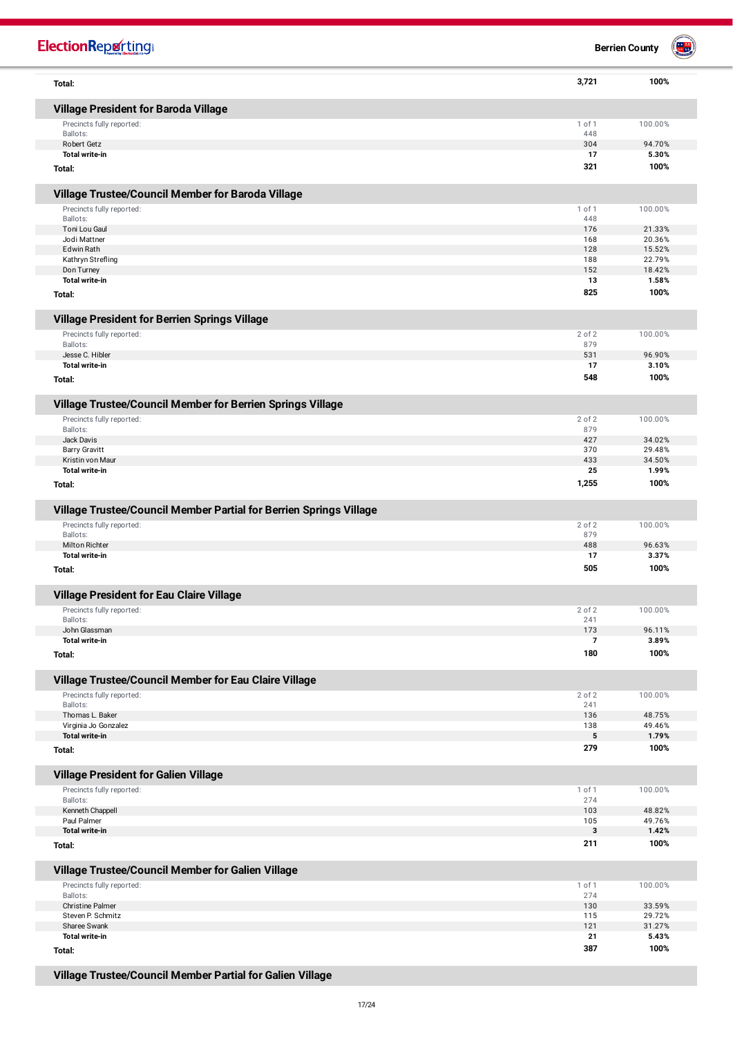| <b>ElectionRepretting®</b>                                         |            | <b>B</b><br><b>Berrien County</b> |
|--------------------------------------------------------------------|------------|-----------------------------------|
| Total:                                                             | 3,721      | 100%                              |
| Village President for Baroda Village                               |            |                                   |
| Precincts fully reported:                                          | 1 of 1     | 100.00%                           |
| Ballots:<br>Robert Getz                                            | 448<br>304 | 94.70%                            |
| <b>Total write-in</b>                                              | 17         | 5.30%                             |
| Total:                                                             | 321        | 100%                              |
| Village Trustee/Council Member for Baroda Village                  |            |                                   |
| Precincts fully reported:                                          | 1 of 1     | 100.00%                           |
| Ballots:                                                           | 448        |                                   |
| Toni Lou Gaul<br>Jodi Mattner                                      | 176<br>168 | 21.33%<br>20.36%                  |
| <b>Edwin Rath</b>                                                  | 128        | 15.52%                            |
| Kathryn Strefling                                                  | 188        | 22.79%                            |
| Don Turney<br><b>Total write-in</b>                                | 152<br>13  | 18.42%<br>1.58%                   |
| Total:                                                             | 825        | 100%                              |
| Village President for Berrien Springs Village                      |            |                                   |
| Precincts fully reported:                                          | 2 of 2     | 100.00%                           |
| Ballots:                                                           | 879        |                                   |
| Jesse C. Hibler<br><b>Total write-in</b>                           | 531<br>17  | 96.90%<br>3.10%                   |
| Total:                                                             | 548        | 100%                              |
| Village Trustee/Council Member for Berrien Springs Village         |            |                                   |
| Precincts fully reported:                                          | 2 of 2     | 100.00%                           |
| Ballots:                                                           | 879        |                                   |
| Jack Davis                                                         | 427        | 34.02%                            |
| <b>Barry Gravitt</b>                                               | 370        | 29.48%                            |
| Kristin von Maur<br><b>Total write-in</b>                          | 433<br>25  | 34.50%<br>1.99%                   |
| Total:                                                             | 1,255      | 100%                              |
| Village Trustee/Council Member Partial for Berrien Springs Village |            |                                   |
| Precincts fully reported:                                          | 2 of 2     | 100.00%                           |
| Ballots:                                                           | 879        |                                   |
| <b>Milton Richter</b>                                              | 488        | 96.63%                            |
| <b>Total write-in</b>                                              | 17         | 3.37%                             |
| Total:                                                             | 505        | 100%                              |
| Village President for Eau Claire Village                           |            |                                   |
| Precincts fully reported:                                          | 2 of 2     | 100.00%                           |
| Ballots:<br>John Glassman                                          | 241<br>173 | 96.11%                            |
| <b>Total write-in</b>                                              | 7          | 3.89%                             |
| Total:                                                             | 180        | 100%                              |
| Village Trustee/Council Member for Eau Claire Village              |            |                                   |
| Precincts fully reported:                                          | 2 of 2     | 100.00%                           |
| Ballots:                                                           | 241        |                                   |
| Thomas L. Baker<br>Virginia Jo Gonzalez                            | 136<br>138 | 48.75%<br>49.46%                  |
| Total write-in                                                     | 5          | 1.79%                             |
| Total:                                                             | 279        | 100%                              |
| Village President for Galien Village                               |            |                                   |
| Precincts fully reported:                                          | 1 of 1     | 100.00%                           |
| Ballots:                                                           | 274        |                                   |
| Kenneth Chappell<br>Paul Palmer                                    | 103<br>105 | 48.82%<br>49.76%                  |
| <b>Total write-in</b>                                              | 3          | 1.42%                             |
| Total:                                                             | 211        | 100%                              |
| Village Trustee/Council Member for Galien Village                  |            |                                   |
| Precincts fully reported:                                          | 1 of 1     | 100.00%                           |
| Ballots:                                                           | 274        |                                   |
| <b>Christine Palmer</b><br>Steven P. Schmitz                       | 130<br>115 | 33.59%<br>29.72%                  |
| Sharee Swank                                                       | 121        | 31.27%                            |
| <b>Total write-in</b>                                              | 21         | 5.43%                             |
| Total:                                                             | 387        | 100%                              |

**Village Trustee/Council Member Partial for Galien Village**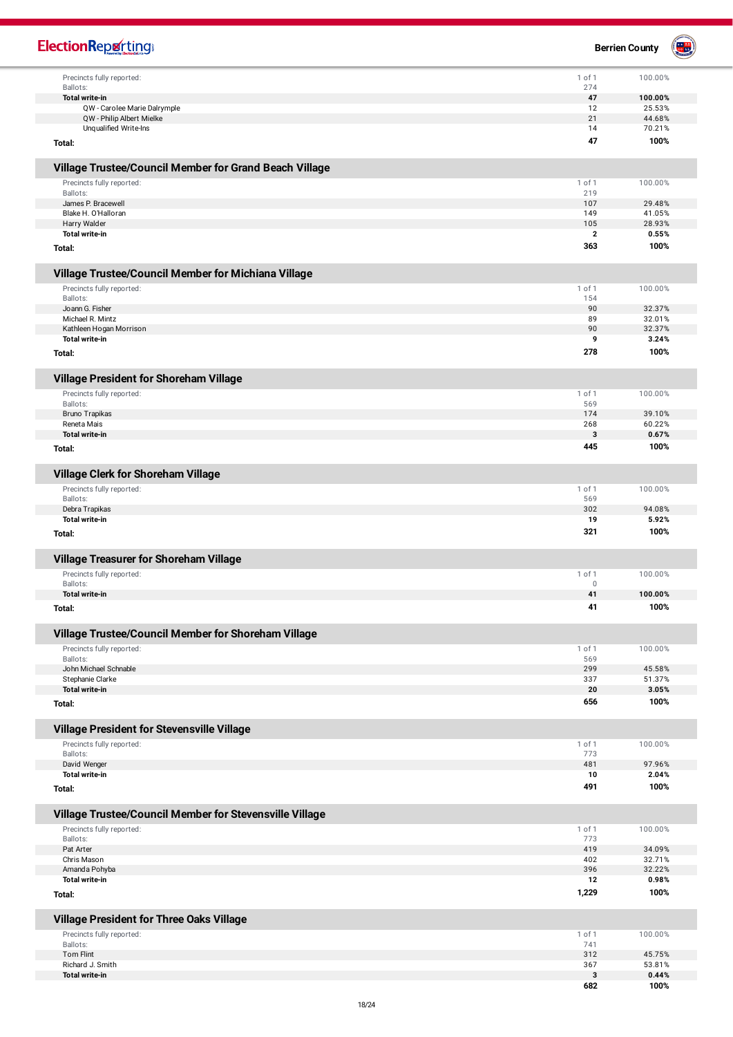| <b>ElectionReporting®</b>                                                            |               | <b>Berrien County</b> |  |
|--------------------------------------------------------------------------------------|---------------|-----------------------|--|
| Precincts fully reported:                                                            | 1 of 1        | 100.00%               |  |
| Ballots:                                                                             | 274<br>47     | 100.00%               |  |
| Total write-in<br>QW - Carolee Marie Dalrymple                                       | 12            | 25.53%                |  |
| QW - Philip Albert Mielke                                                            | 21            | 44.68%                |  |
| Unqualified Write-Ins                                                                | 14            | 70.21%                |  |
| Total:                                                                               | 47            | 100%                  |  |
| Village Trustee/Council Member for Grand Beach Village                               |               |                       |  |
| Precincts fully reported:                                                            | 1 of 1        | 100.00%               |  |
| Ballots:                                                                             | 219           |                       |  |
| James P. Bracewell<br>Blake H. O'Halloran                                            | 107<br>149    | 29.48%<br>41.05%      |  |
| Harry Walder                                                                         | 105           | 28.93%                |  |
| <b>Total write-in</b>                                                                | $\mathbf{2}$  | 0.55%                 |  |
| Total:                                                                               | 363           | 100%                  |  |
| Village Trustee/Council Member for Michiana Village                                  |               |                       |  |
| Precincts fully reported:<br>Ballots:                                                | 1 of 1<br>154 | 100.00%               |  |
| Joann G. Fisher                                                                      | 90            | 32.37%                |  |
| Michael R. Mintz                                                                     | 89            | 32.01%                |  |
| Kathleen Hogan Morrison                                                              | 90            | 32.37%                |  |
| <b>Total write-in</b>                                                                | 9             | 3.24%                 |  |
| Total:                                                                               | 278           | 100%                  |  |
| Village President for Shoreham Village                                               |               |                       |  |
| Precincts fully reported:<br>Ballots:                                                | 1 of 1<br>569 | 100.00%               |  |
| Bruno Trapikas                                                                       | 174           | 39.10%                |  |
| Reneta Mais                                                                          | 268           | 60.22%                |  |
| <b>Total write-in</b>                                                                | 3             | 0.67%                 |  |
| Total:                                                                               | 445           | 100%                  |  |
| Village Clerk for Shoreham Village                                                   |               |                       |  |
| Precincts fully reported:                                                            | 1 of 1        | 100.00%               |  |
| Ballots:<br>Debra Trapikas                                                           | 569<br>302    | 94.08%                |  |
| <b>Total write-in</b>                                                                | 19            | 5.92%                 |  |
| Total:                                                                               | 321           | 100%                  |  |
| Village Treasurer for Shoreham Village                                               |               |                       |  |
| Precincts fully reported:                                                            | 1 of 1        | 100.00%               |  |
| Ballots:<br><b>Total write-in</b>                                                    | 0<br>41       | 100.00%               |  |
| Total:                                                                               | 41            | 100%                  |  |
| Village Trustee/Council Member for Shoreham Village                                  |               |                       |  |
| Precincts fully reported:                                                            | 1 of 1        | 100.00%               |  |
| Ballots:                                                                             | 569           |                       |  |
| John Michael Schnable<br>Stephanie Clarke                                            | 299<br>337    | 45.58%<br>51.37%      |  |
| Total write-in                                                                       | 20            | 3.05%                 |  |
| Total:                                                                               | 656           | 100%                  |  |
| Village President for Stevensville Village                                           |               |                       |  |
| Precincts fully reported:                                                            | 1 of 1        | 100.00%               |  |
| Ballots:                                                                             | 773           |                       |  |
| David Wenger                                                                         | 481           | 97.96%                |  |
| <b>Total write-in</b><br>Total:                                                      | 10<br>491     | 2.04%<br>100%         |  |
|                                                                                      |               |                       |  |
| Village Trustee/Council Member for Stevensville Village<br>Precincts fully reported: | 1 of 1        | 100.00%               |  |
| Ballots:                                                                             | 773           |                       |  |
| Pat Arter                                                                            | 419           | 34.09%                |  |
| Chris Mason<br>Amanda Pohyba                                                         | 402<br>396    | 32.71%<br>32.22%      |  |
| <b>Total write-in</b>                                                                | 12            | 0.98%                 |  |
| Total:                                                                               | 1,229         | 100%                  |  |
| Village President for Three Oaks Village                                             |               |                       |  |
| Precincts fully reported:                                                            | 1 of 1        | 100.00%               |  |
| Ballots:<br><b>Tom Flint</b>                                                         | 741<br>312    | 45.75%                |  |
| Richard J. Smith                                                                     | 367           | 53.81%                |  |
| <b>Total write-in</b>                                                                | 3             | 0.44%                 |  |
|                                                                                      | 682           | 100%                  |  |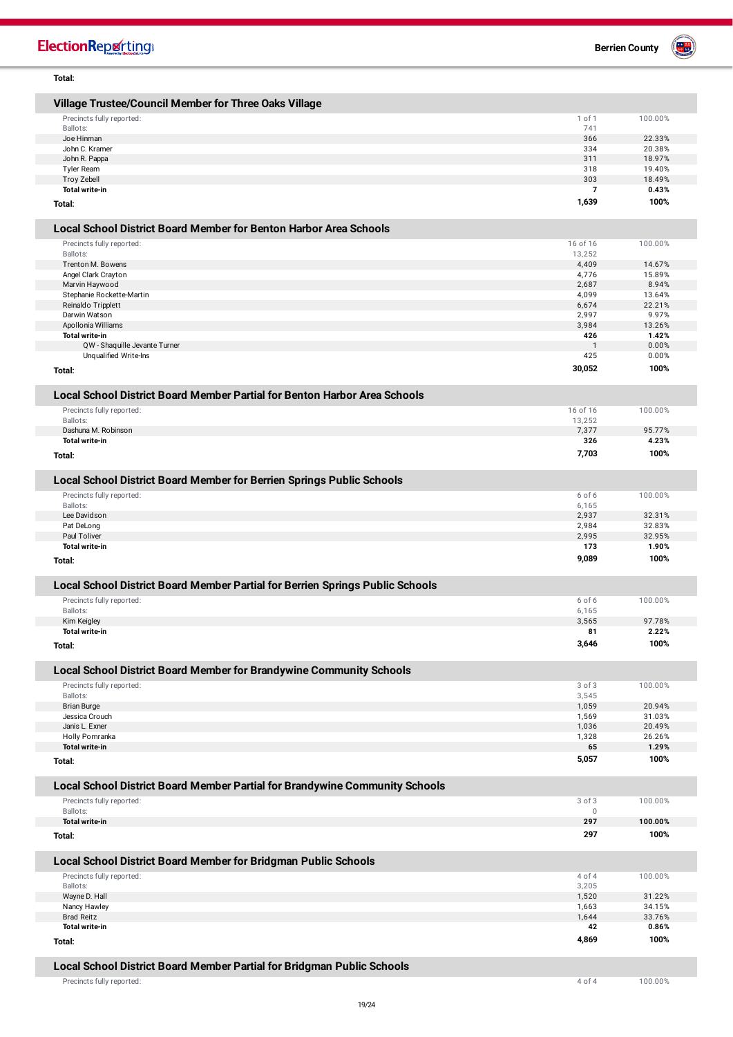| Total:                                                                        |                       |                  |
|-------------------------------------------------------------------------------|-----------------------|------------------|
| Village Trustee/Council Member for Three Oaks Village                         |                       |                  |
| Precincts fully reported:                                                     | 1 of 1                | 100.00%          |
| Ballots:                                                                      | 741                   |                  |
| Joe Hinman                                                                    | 366                   | 22.33%           |
| John C. Kramer                                                                | 334                   | 20.38%           |
| John R. Pappa<br>Tyler Ream                                                   | 311<br>318            | 18.97%<br>19.40% |
| <b>Troy Zebell</b>                                                            | 303                   | 18.49%           |
| <b>Total write-in</b>                                                         | $\overline{7}$        | 0.43%            |
| Total:                                                                        | 1,639                 | 100%             |
|                                                                               |                       |                  |
| <b>Local School District Board Member for Benton Harbor Area Schools</b>      |                       |                  |
| Precincts fully reported:<br>Ballots:                                         | 16 of 16              | 100.00%          |
| Trenton M. Bowens                                                             | 13,252<br>4,409       | 14.67%           |
| Angel Clark Crayton                                                           | 4,776                 | 15.89%           |
| Marvin Haywood                                                                | 2,687                 | 8.94%            |
| Stephanie Rockette-Martin                                                     | 4,099                 | 13.64%           |
| Reinaldo Tripplett                                                            | 6,674                 | 22.21%           |
| Darwin Watson                                                                 | 2,997<br>3,984        | 9.97%<br>13.26%  |
| Apollonia Williams<br>Total write-in                                          | 426                   | 1.42%            |
| QW - Shaquille Jevante Turner                                                 | $\mathbf{1}$          | 0.00%            |
| Unqualified Write-Ins                                                         | 425                   | 0.00%            |
| Total:                                                                        | 30,052                | 100%             |
|                                                                               |                       |                  |
| Local School District Board Member Partial for Benton Harbor Area Schools     |                       |                  |
| Precincts fully reported:<br>Ballots:                                         | 16 of 16<br>13,252    | 100.00%          |
| Dashuna M. Robinson                                                           | 7,377                 | 95.77%           |
| <b>Total write-in</b>                                                         | 326                   | 4.23%            |
| Total:                                                                        | 7,703                 | 100%             |
|                                                                               |                       |                  |
| Local School District Board Member for Berrien Springs Public Schools         |                       |                  |
| Precincts fully reported:                                                     | 6 of 6                | 100.00%          |
| Ballots:<br>Lee Davidson                                                      | 6,165<br>2,937        | 32.31%           |
| Pat DeLong                                                                    | 2,984                 | 32.83%           |
| Paul Toliver                                                                  | 2,995                 | 32.95%           |
| <b>Total write-in</b>                                                         | 173                   | 1.90%            |
| Total:                                                                        | 9,089                 | 100%             |
| Local School District Board Member Partial for Berrien Springs Public Schools |                       |                  |
| Precincts fully reported:                                                     | 6 of 6                | 100.00%          |
| Ballots:                                                                      | 6,165                 |                  |
| Kim Keigley                                                                   | 3,565                 | 97.78%           |
| Total write-in                                                                | 81                    | 2.22%            |
| Total:                                                                        | 3,646                 | 100%             |
|                                                                               |                       |                  |
| Local School District Board Member for Brandywine Community Schools           |                       |                  |
| Precincts fully reported:<br>Ballots:                                         | $3$ of $3$<br>3,545   | 100.00%          |
| <b>Brian Burge</b>                                                            | 1,059                 | 20.94%           |
| Jessica Crouch                                                                | 1,569                 | 31.03%           |
| Janis L. Exner                                                                | 1,036                 | 20.49%           |
| Holly Pomranka<br><b>Total write-in</b>                                       | 1,328<br>65           | 26.26%<br>1.29%  |
| Total:                                                                        | 5,057                 | 100%             |
|                                                                               |                       |                  |
| Local School District Board Member Partial for Brandywine Community Schools   |                       |                  |
| Precincts fully reported:<br>Ballots:                                         | 3 of 3<br>$\mathbb O$ | 100.00%          |
| <b>Total write-in</b>                                                         | 297                   | 100.00%          |
| Total:                                                                        | 297                   | 100%             |
|                                                                               |                       |                  |
| Local School District Board Member for Bridgman Public Schools                |                       |                  |
| Precincts fully reported:<br>Ballots:                                         | 4 of 4<br>3,205       | 100.00%          |
| Wayne D. Hall                                                                 | 1,520                 | 31.22%           |
| Nancy Hawley                                                                  | 1,663                 | 34.15%           |
| <b>Brad Reitz</b>                                                             | 1,644                 | 33.76%           |
| Total write-in                                                                | 42                    | 0.86%            |
| Total:                                                                        | 4,869                 | 100%             |
| Local School District Board Member Partial for Bridgman Public Schools        |                       |                  |

Precincts fully reported: 4 of 4 100.00%



## **ElectionRepretting**

I

I

I

ľ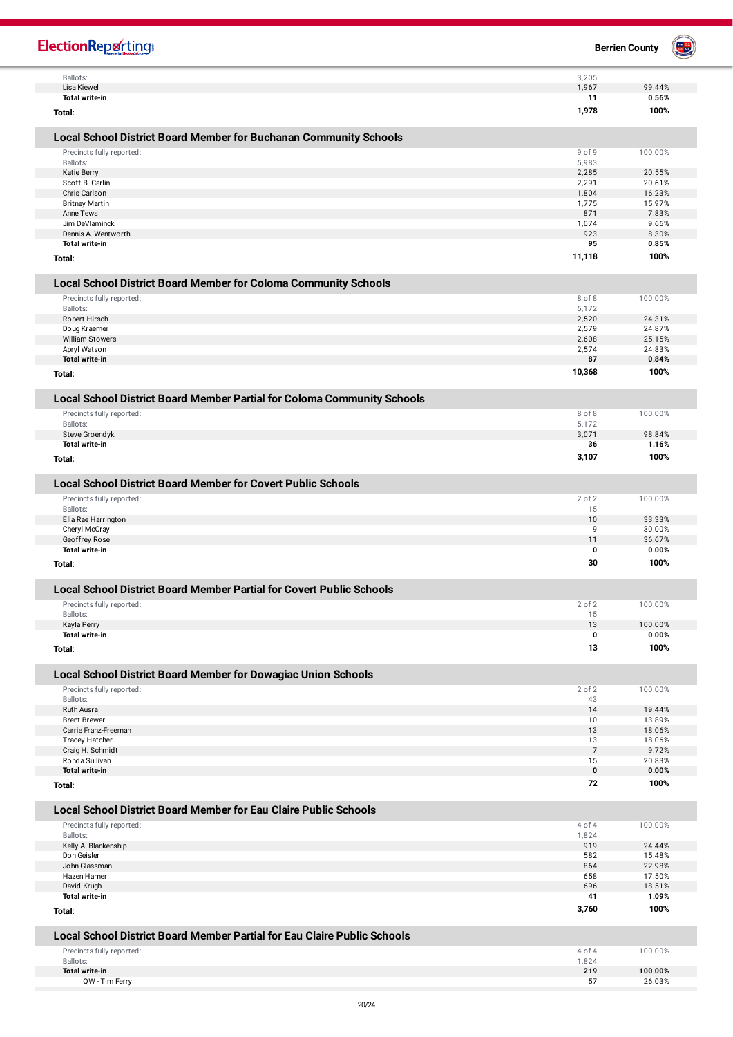| <b>ElectionReporting</b>                                                                   |                      | <b>Berrien County</b> | e N |
|--------------------------------------------------------------------------------------------|----------------------|-----------------------|-----|
| Ballots:                                                                                   | 3,205                |                       |     |
| Lisa Kiewel                                                                                | 1,967                | 99.44%                |     |
| <b>Total write-in</b>                                                                      | 11                   | 0.56%                 |     |
| Total:                                                                                     | 1,978                | 100%                  |     |
| Local School District Board Member for Buchanan Community Schools                          |                      |                       |     |
| Precincts fully reported:                                                                  | 9 of 9               | 100.00%               |     |
| Ballots:                                                                                   | 5,983                |                       |     |
| Katie Berry                                                                                | 2,285                | 20.55%                |     |
| Scott B. Carlin                                                                            | 2,291                | 20.61%                |     |
| Chris Carlson<br><b>Britney Martin</b>                                                     | 1,804<br>1,775       | 16.23%<br>15.97%      |     |
| Anne Tews                                                                                  | 871                  | 7.83%                 |     |
| Jim DeVlaminck                                                                             | 1,074                | 9.66%                 |     |
| Dennis A. Wentworth                                                                        | 923                  | 8.30%                 |     |
| <b>Total write-in</b>                                                                      | 95                   | 0.85%                 |     |
| Total:                                                                                     | 11,118               | 100%                  |     |
| <b>Local School District Board Member for Coloma Community Schools</b>                     |                      |                       |     |
| Precincts fully reported:                                                                  | 8 of 8               | 100.00%               |     |
| Ballots:                                                                                   | 5,172                |                       |     |
| Robert Hirsch                                                                              | 2,520<br>2,579       | 24.31%<br>24.87%      |     |
| Doug Kraemer<br><b>William Stowers</b>                                                     | 2,608                | 25.15%                |     |
| Apryl Watson                                                                               | 2,574                | 24.83%                |     |
| <b>Total write-in</b>                                                                      | 87                   | 0.84%                 |     |
| Total:                                                                                     | 10,368               | 100%                  |     |
| Local School District Board Member Partial for Coloma Community Schools                    |                      |                       |     |
| Precincts fully reported:                                                                  | 8 of 8               | 100.00%               |     |
| Ballots:                                                                                   | 5,172                |                       |     |
| Steve Groendyk                                                                             | 3,071                | 98.84%                |     |
| <b>Total write-in</b>                                                                      | 36                   | 1.16%                 |     |
| Total:                                                                                     | 3,107                | 100%                  |     |
| <b>Local School District Board Member for Covert Public Schools</b>                        |                      |                       |     |
| Precincts fully reported:                                                                  | 2 of 2               | 100.00%               |     |
| Ballots:                                                                                   | 15                   |                       |     |
| Ella Rae Harrington<br>Cheryl McCray                                                       | 10<br>9              | 33.33%<br>30.00%      |     |
| Geoffrey Rose                                                                              | 11                   | 36.67%                |     |
| <b>Total write-in</b>                                                                      | 0                    | 0.00%                 |     |
| Total:                                                                                     | 30                   | 100%                  |     |
| <b>Local School District Board Member Partial for Covert Public Schools</b>                |                      |                       |     |
| Precincts fully reported:                                                                  | 2 of 2               | 100.00%               |     |
| Ballots:                                                                                   | 15                   |                       |     |
| Kayla Perry                                                                                | 13                   | 100.00%               |     |
| <b>Total write-in</b><br>Total:                                                            | 0<br>13              | 0.00%<br>100%         |     |
|                                                                                            |                      |                       |     |
| Local School District Board Member for Dowagiac Union Schools<br>Precincts fully reported: | 2 of 2               | 100.00%               |     |
| Ballots:                                                                                   | 43                   |                       |     |
| Ruth Ausra                                                                                 | 14                   | 19.44%                |     |
| <b>Brent Brewer</b>                                                                        | 10                   | 13.89%                |     |
| Carrie Franz-Freeman                                                                       | 13                   | 18.06%                |     |
| <b>Tracey Hatcher</b>                                                                      | 13<br>$\overline{7}$ | 18.06%<br>9.72%       |     |
| Craig H. Schmidt<br>Ronda Sullivan                                                         | 15                   | 20.83%                |     |
| <b>Total write-in</b>                                                                      | 0                    | 0.00%                 |     |
| Total:                                                                                     | 72                   | 100%                  |     |
| <b>Local School District Board Member for Eau Claire Public Schools</b>                    |                      |                       |     |
| Precincts fully reported:                                                                  | 4 of 4               | 100.00%               |     |
| Ballots:                                                                                   | 1,824                |                       |     |
| Kelly A. Blankenship<br>Don Geisler                                                        | 919<br>582           | 24.44%<br>15.48%      |     |
| John Glassman                                                                              | 864                  | 22.98%                |     |
| Hazen Harner                                                                               | 658                  | 17.50%                |     |
| David Krugh                                                                                | 696                  | 18.51%                |     |
| <b>Total write-in</b>                                                                      | 41<br>3,760          | 1.09%<br>100%         |     |
| Total:                                                                                     |                      |                       |     |
| <b>Local School District Board Member Partial for Eau Claire Public Schools</b>            |                      |                       |     |
| Precincts fully reported:                                                                  | 4 of 4               | 100.00%               |     |
| Ballots:<br><b>Total write-in</b>                                                          | 1,824<br>219         | 100.00%               |     |
| QW - Tim Ferry                                                                             | 57                   | 26.03%                |     |
|                                                                                            |                      |                       |     |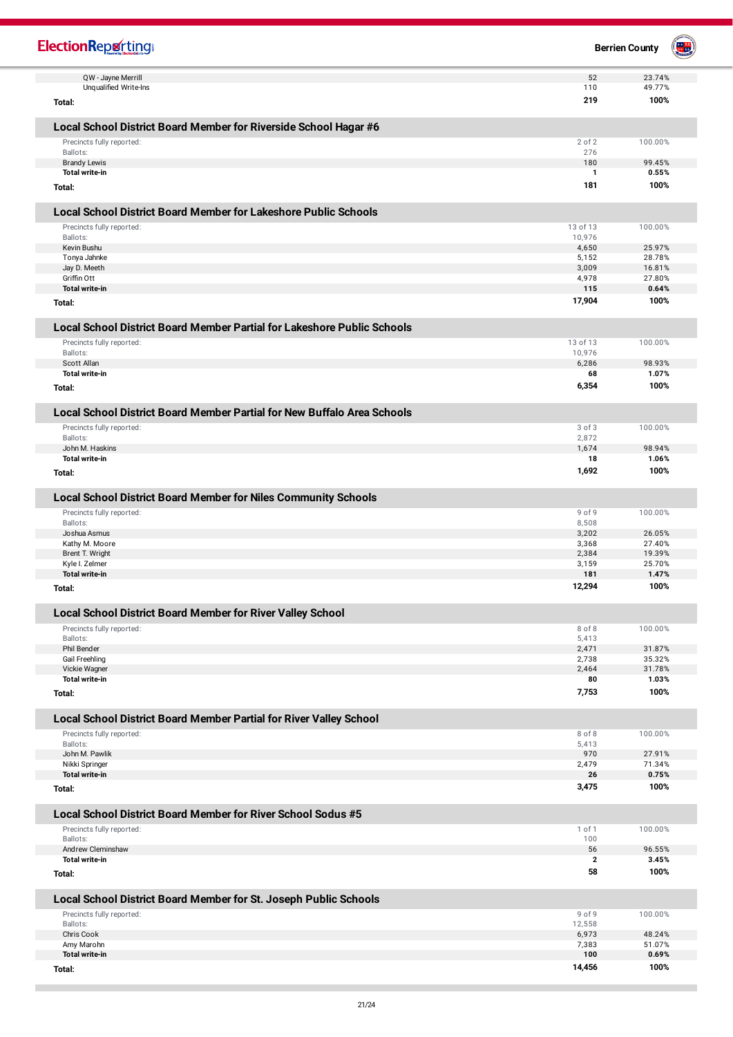| <b>ElectionRepretting</b>                                               |                  | <b>Berrien County</b> | 豐 |
|-------------------------------------------------------------------------|------------------|-----------------------|---|
| QW - Jayne Merrill                                                      | 52               | 23.74%                |   |
| Unqualified Write-Ins<br>Total:                                         | 110<br>219       | 49.77%<br>100%        |   |
|                                                                         |                  |                       |   |
| Local School District Board Member for Riverside School Hagar #6        |                  |                       |   |
| Precincts fully reported:                                               | 2 of 2           | 100.00%               |   |
| Ballots:<br><b>Brandy Lewis</b>                                         | 276<br>180       | 99.45%                |   |
| <b>Total write-in</b>                                                   | $\mathbf{1}$     | 0.55%                 |   |
| Total:                                                                  | 181              | 100%                  |   |
| <b>Local School District Board Member for Lakeshore Public Schools</b>  |                  |                       |   |
| Precincts fully reported:                                               | 13 of 13         | 100.00%               |   |
| Ballots:<br>Kevin Bushu                                                 | 10,976<br>4,650  | 25.97%                |   |
| Tonya Jahnke                                                            | 5,152            | 28.78%                |   |
| Jay D. Meeth                                                            | 3,009            | 16.81%                |   |
| Griffin Ott<br><b>Total write-in</b>                                    | 4,978<br>115     | 27.80%<br>0.64%       |   |
| Total:                                                                  | 17,904           | 100%                  |   |
| Local School District Board Member Partial for Lakeshore Public Schools |                  |                       |   |
| Precincts fully reported:                                               | 13 of 13         | 100.00%               |   |
| Ballots:                                                                | 10,976           |                       |   |
| Scott Allan                                                             | 6,286            | 98.93%                |   |
| <b>Total write-in</b>                                                   | 68<br>6,354      | 1.07%<br>100%         |   |
| Total:                                                                  |                  |                       |   |
| Local School District Board Member Partial for New Buffalo Area Schools |                  |                       |   |
| Precincts fully reported:<br>Ballots:                                   | 3 of 3<br>2,872  | 100.00%               |   |
| John M. Haskins                                                         | 1,674            | 98.94%                |   |
| Total write-in                                                          | 18               | 1.06%                 |   |
| Total:                                                                  | 1,692            | 100%                  |   |
| <b>Local School District Board Member for Niles Community Schools</b>   |                  |                       |   |
| Precincts fully reported:                                               | 9 of 9           | 100.00%               |   |
| Ballots:                                                                | 8,508            |                       |   |
| Joshua Asmus<br>Kathy M. Moore                                          | 3,202<br>3,368   | 26.05%<br>27.40%      |   |
| Brent T. Wright                                                         | 2,384            | 19.39%                |   |
| Kyle I. Zelmer                                                          | 3,159            | 25.70%                |   |
| <b>Total write-in</b>                                                   | 181              | 1.47%                 |   |
| Total:                                                                  | 12,294           | 100%                  |   |
| Local School District Board Member for River Valley School              |                  |                       |   |
| Precincts fully reported:                                               | 8 of 8           | 100.00%               |   |
| Ballots:<br>Phil Bender                                                 | 5,413<br>2,471   | 31.87%                |   |
| Gail Freehling                                                          | 2,738            | 35.32%                |   |
| Vickie Wagner                                                           | 2,464            | 31.78%                |   |
| <b>Total write-in</b>                                                   | 80               | 1.03%                 |   |
| Total:                                                                  | 7,753            | 100%                  |   |
| Local School District Board Member Partial for River Valley School      |                  |                       |   |
| Precincts fully reported:<br>Ballots:                                   | 8 of 8<br>5,413  | 100.00%               |   |
| John M. Pawlik                                                          | 970              | 27.91%                |   |
| Nikki Springer                                                          | 2,479            | 71.34%                |   |
| <b>Total write-in</b>                                                   | 26               | 0.75%                 |   |
| Total:                                                                  | 3,475            | 100%                  |   |
| Local School District Board Member for River School Sodus #5            |                  |                       |   |
| Precincts fully reported:<br>Ballots:                                   | 1 of 1<br>100    | 100.00%               |   |
| Andrew Cleminshaw                                                       | 56               | 96.55%                |   |
| <b>Total write-in</b>                                                   | $\mathbf{2}$     | 3.45%                 |   |
| Total:                                                                  | 58               | 100%                  |   |
| Local School District Board Member for St. Joseph Public Schools        |                  |                       |   |
| Precincts fully reported:<br>Ballots:                                   | 9 of 9<br>12,558 | 100.00%               |   |
| Chris Cook                                                              | 6,973            | 48.24%                |   |
| Amy Marohn                                                              | 7,383            | 51.07%                |   |
| Total write-in                                                          | 100              | 0.69%                 |   |
| Total:                                                                  | 14,456           | 100%                  |   |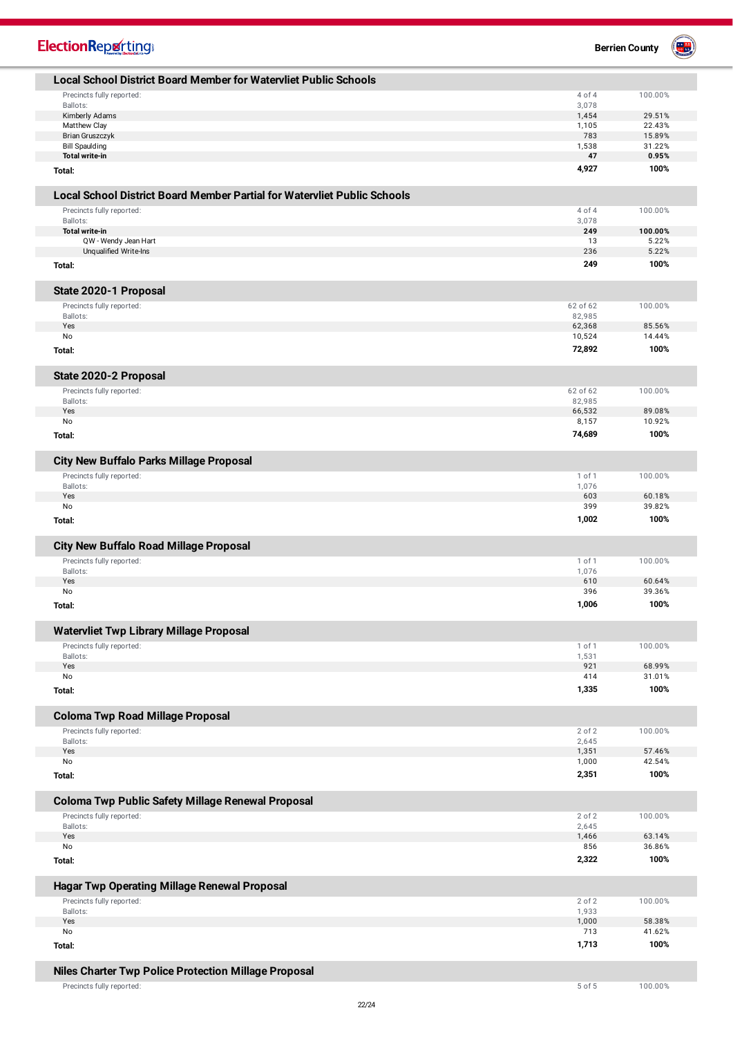| <b>ElectionReporting®</b>                                                       |                  | 豐<br><b>Berrien County</b> |
|---------------------------------------------------------------------------------|------------------|----------------------------|
| <b>Local School District Board Member for Watervliet Public Schools</b>         |                  |                            |
| Precincts fully reported:                                                       | 4 of 4           | 100.00%                    |
| Ballots:                                                                        | 3,078            |                            |
| Kimberly Adams<br>Matthew Clay                                                  | 1,454<br>1,105   | 29.51%<br>22.43%           |
| <b>Brian Gruszczyk</b>                                                          | 783              | 15.89%                     |
| <b>Bill Spaulding</b>                                                           | 1,538            | 31.22%                     |
| Total write-in                                                                  | 47               | 0.95%<br>100%              |
| Total:                                                                          | 4,927            |                            |
| <b>Local School District Board Member Partial for Watervliet Public Schools</b> |                  |                            |
| Precincts fully reported:<br>Ballots:                                           | 4 of 4<br>3,078  | 100.00%                    |
| <b>Total write-in</b>                                                           | 249              | 100.00%                    |
| QW - Wendy Jean Hart                                                            | 13               | 5.22%                      |
| Unqualified Write-Ins                                                           | 236              | 5.22%                      |
| Total:                                                                          | 249              | 100%                       |
| State 2020-1 Proposal                                                           |                  |                            |
| Precincts fully reported:                                                       | 62 of 62         | 100.00%                    |
| Ballots:<br>Yes                                                                 | 82,985           |                            |
| No                                                                              | 62,368<br>10,524 | 85.56%<br>14.44%           |
| Total:                                                                          | 72,892           | 100%                       |
|                                                                                 |                  |                            |
| State 2020-2 Proposal<br>Precincts fully reported:                              | 62 of 62         | 100.00%                    |
| Ballots:                                                                        | 82,985           |                            |
| Yes                                                                             | 66,532           | 89.08%                     |
| No                                                                              | 8,157            | 10.92%                     |
| Total:                                                                          | 74,689           | 100%                       |
| <b>City New Buffalo Parks Millage Proposal</b>                                  |                  |                            |
| Precincts fully reported:                                                       | 1 of 1           | 100.00%                    |
| Ballots:<br>Yes                                                                 | 1,076<br>603     | 60.18%                     |
| No                                                                              | 399              | 39.82%                     |
| Total:                                                                          | 1,002            | 100%                       |
| <b>City New Buffalo Road Millage Proposal</b>                                   |                  |                            |
| Precincts fully reported:                                                       | 1 of 1           | 100.00%                    |
| Ballots:                                                                        | 1,076            |                            |
| Yes<br>No                                                                       | 610<br>396       | 60.64%<br>39.36%           |
| Total:                                                                          | 1,006            | 100%                       |
|                                                                                 |                  |                            |
| <b>Watervliet Twp Library Millage Proposal</b><br>Precincts fully reported:     | 1 of 1           | 100.00%                    |
| Ballots:                                                                        | 1,531            |                            |
| Yes                                                                             | 921              | 68.99%                     |
| No                                                                              | 414              | 31.01%                     |
| Total:                                                                          | 1,335            | 100%                       |
| <b>Coloma Twp Road Millage Proposal</b>                                         |                  |                            |
| Precincts fully reported:                                                       | 2 of 2           | 100.00%                    |
| Ballots:<br>Yes                                                                 | 2,645<br>1,351   | 57.46%                     |
| No                                                                              | 1,000            | 42.54%                     |
| Total:                                                                          | 2,351            | 100%                       |
| Coloma Twp Public Safety Millage Renewal Proposal                               |                  |                            |
| Precincts fully reported:                                                       | 2 of 2           | 100.00%                    |
| Ballots:<br>Yes                                                                 | 2,645            |                            |
| No                                                                              | 1,466<br>856     | 63.14%<br>36.86%           |
| Total:                                                                          | 2,322            | 100%                       |
| Hagar Twp Operating Millage Renewal Proposal                                    |                  |                            |
| Precincts fully reported:                                                       | 2 of 2           | 100.00%                    |
| Ballots:                                                                        | 1,933            |                            |
| Yes<br>No                                                                       | 1,000<br>713     | 58.38%<br>41.62%           |
| Total:                                                                          | 1,713            | 100%                       |
|                                                                                 |                  |                            |
| Niles Charter Twp Police Protection Millage Proposal                            |                  |                            |
| Precincts fully reported:                                                       | 5 of 5           | 100.00%                    |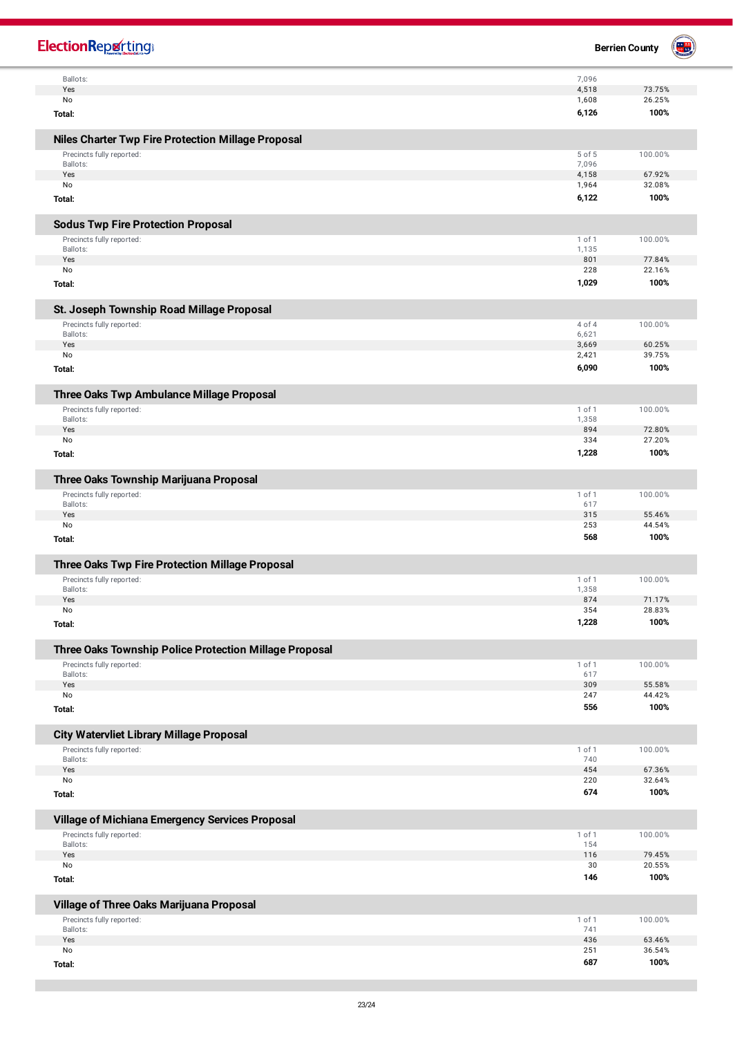| <b>ElectionReporting®</b>                                             |                 | <b>Berrien County</b> |
|-----------------------------------------------------------------------|-----------------|-----------------------|
| Ballots:<br>Yes                                                       | 7,096<br>4,518  | 73.75%                |
| No                                                                    | 1,608           | 26.25%                |
| Total:                                                                | 6,126           | 100%                  |
| <b>Niles Charter Twp Fire Protection Millage Proposal</b>             |                 |                       |
| Precincts fully reported:                                             | 5 of 5          | 100.00%               |
| Ballots:<br>Yes                                                       | 7,096<br>4,158  | 67.92%                |
| No                                                                    | 1,964           | 32.08%                |
| Total:                                                                | 6,122           | 100%                  |
| <b>Sodus Twp Fire Protection Proposal</b>                             |                 |                       |
| Precincts fully reported:                                             | 1 of 1          | 100.00%               |
| Ballots:<br>Yes                                                       | 1,135<br>801    | 77.84%                |
| No                                                                    | 228             | 22.16%                |
| Total:                                                                | 1,029           | 100%                  |
| St. Joseph Township Road Millage Proposal                             |                 |                       |
| Precincts fully reported:<br>Ballots:                                 | 4 of 4<br>6,621 | 100.00%               |
| Yes                                                                   | 3,669           | 60.25%                |
| No                                                                    | 2,421           | 39.75%                |
| Total:                                                                | 6,090           | 100%                  |
| Three Oaks Twp Ambulance Millage Proposal                             |                 |                       |
| Precincts fully reported:                                             | 1 of 1          | 100.00%               |
| Ballots:<br>Yes                                                       | 1,358<br>894    | 72.80%                |
| No                                                                    | 334             | 27.20%                |
| Total:                                                                | 1,228           | 100%                  |
| Three Oaks Township Marijuana Proposal                                |                 |                       |
| Precincts fully reported:                                             | 1 of 1          | 100.00%               |
| Ballots:<br>Yes                                                       | 617<br>315      | 55.46%                |
| No                                                                    | 253             | 44.54%                |
| Total:                                                                | 568             | 100%                  |
| Three Oaks Twp Fire Protection Millage Proposal                       |                 |                       |
| Precincts fully reported:                                             | 1 of 1          | 100.00%               |
| Ballots:<br>Yes                                                       | 1,358<br>874    | 71.17%                |
| No                                                                    | 354             | 28.83%                |
| Total:                                                                | 1,228           | 100%                  |
| Three Oaks Township Police Protection Millage Proposal                |                 |                       |
| Precincts fully reported:                                             | 1 of 1          | 100.00%               |
| Ballots:<br>Yes                                                       | 617<br>309      | 55.58%                |
| No                                                                    | 247             | 44.42%                |
| Total:                                                                | 556             | 100%                  |
| <b>City Watervliet Library Millage Proposal</b>                       |                 |                       |
| Precincts fully reported:                                             | 1 of 1          | 100.00%               |
| Ballots:<br>Yes                                                       | 740<br>454      | 67.36%                |
| No                                                                    | 220             | 32.64%                |
| Total:                                                                | 674             | 100%                  |
| Village of Michiana Emergency Services Proposal                       |                 |                       |
| Precincts fully reported:<br>Ballots:                                 | 1 of 1<br>154   | 100.00%               |
| Yes                                                                   | 116             | 79.45%                |
| No<br>Total:                                                          | 30<br>146       | 20.55%<br>100%        |
|                                                                       |                 |                       |
| Village of Three Oaks Marijuana Proposal<br>Precincts fully reported: | 1 of 1          | 100.00%               |
| Ballots:                                                              | 741             |                       |
| Yes                                                                   | 436             | 63.46%                |
| No                                                                    | 251<br>687      | 36.54%<br>100%        |
| Total:                                                                |                 |                       |